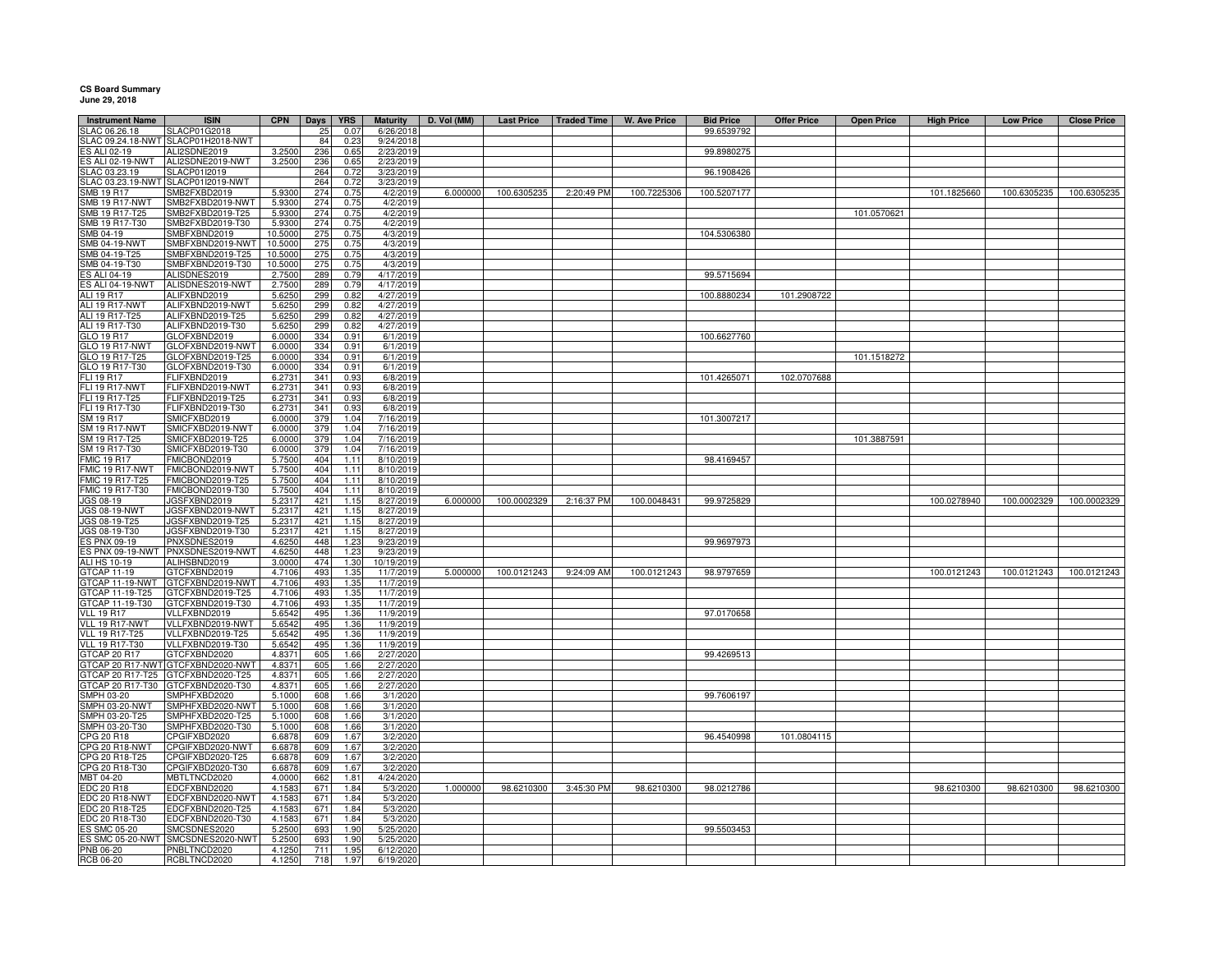## **CS Board Summary June 29, 2018**

| <b>Instrument Name</b>                | <b>ISIN</b>                          | <b>CPN</b>        |                 |                    | <b>Maturity</b>        | D. Vol (MM) | <b>Last Price</b> | <b>Traded Time</b> | <b>W. Ave Price</b> | <b>Bid Price</b> | <b>Offer Price</b> |                   |                   |                  |                    |
|---------------------------------------|--------------------------------------|-------------------|-----------------|--------------------|------------------------|-------------|-------------------|--------------------|---------------------|------------------|--------------------|-------------------|-------------------|------------------|--------------------|
| LAC 06.26.18                          | <b>SLACP01G2018</b>                  |                   | Days<br>25      | <b>YRS</b><br>0.07 | 6/26/2018              |             |                   |                    |                     | 99.6539792       |                    | <b>Open Price</b> | <b>High Price</b> | <b>Low Price</b> | <b>Close Price</b> |
| LAC 09.24.18-NWT                      | SLACP01H2018-NWT                     |                   | 84              | 0.23               | 9/24/2018              |             |                   |                    |                     |                  |                    |                   |                   |                  |                    |
| S ALI 02-19                           | ALI2SDNE2019                         | 3.2500            | 236             | 0.65               | 2/23/2019              |             |                   |                    |                     | 99.8980275       |                    |                   |                   |                  |                    |
| S ALI 02-19-NWT                       | ALI2SDNE2019-NWT                     | 3.2500            | 236             | 0.65               | 2/23/2019              |             |                   |                    |                     |                  |                    |                   |                   |                  |                    |
| LAC 03.23.19                          | SLACP01I2019                         |                   | 264             | 0.72               | 3/23/2019              |             |                   |                    |                     | 96.1908426       |                    |                   |                   |                  |                    |
|                                       | SLAC 03.23.19-NWT SLACP01I2019-NWT   |                   | 264             | 0.72               | 3/23/2019              |             |                   |                    |                     |                  |                    |                   |                   |                  |                    |
| SMB 19 R17                            | SMB2FXBD2019                         | 5.9300            | 274             | 0.75               | 4/2/2019               | 6.000000    | 100.6305235       | 2:20:49 PM         | 100.7225306         | 100.5207177      |                    |                   | 101.1825660       | 100.6305235      | 100.6305235        |
| SMB 19 R17-NWT                        | SMB2FXBD2019-NWT                     | 5.9300            | 274             | 0.75               | 4/2/2019               |             |                   |                    |                     |                  |                    |                   |                   |                  |                    |
| SMB 19 R17-T25<br>SMB 19 R17-T30      | SMB2FXBD2019-T25                     | 5.9300            | 274<br>274      | 0.75               | 4/2/2019               |             |                   |                    |                     |                  |                    | 101.0570621       |                   |                  |                    |
| SMB 04-19                             | SMB2FXBD2019-T30<br>SMBFXBND2019     | 5.9300<br>10.5000 | 275             | 0.75<br>0.75       | 4/2/2019<br>4/3/2019   |             |                   |                    |                     | 104.5306380      |                    |                   |                   |                  |                    |
| SMB 04-19-NWT                         | SMBFXBND2019-NWT                     | 10.5000           | 275             | 0.75               | 4/3/2019               |             |                   |                    |                     |                  |                    |                   |                   |                  |                    |
| SMB 04-19-T25                         | MBFXBND2019-T25                      | 10.5000           | 275             | 0.75               | 4/3/2019               |             |                   |                    |                     |                  |                    |                   |                   |                  |                    |
| SMB 04-19-T30                         | SMBFXBND2019-T30                     | 10.5000           | 275             | 0.75               | 4/3/2019               |             |                   |                    |                     |                  |                    |                   |                   |                  |                    |
| S ALI 04-19                           | ALISDNES2019                         | 2.7500            | 289             | 0.79               | 4/17/2019              |             |                   |                    |                     | 99.5715694       |                    |                   |                   |                  |                    |
| ES ALI 04-19-NWT                      | ALISDNES2019-NWT                     | 2.7500            | <b>289</b>      | 0.79               | 4/17/2019              |             |                   |                    |                     |                  |                    |                   |                   |                  |                    |
| ALI 19 R17                            | ALIFXBND2019                         | 5.6250            | 299             | 0.82               | 4/27/2019              |             |                   |                    |                     | 100.8880234      | 101.2908722        |                   |                   |                  |                    |
| ALI 19 R17-NWT                        | ALIFXBND2019-NWT                     | 5.6250            | 299             | 0.82               | 4/27/2019              |             |                   |                    |                     |                  |                    |                   |                   |                  |                    |
| ALI 19 R17-T25                        | ALIFXBND2019-T25                     | 5.6250            | 299             | 0.82               | 4/27/2019              |             |                   |                    |                     |                  |                    |                   |                   |                  |                    |
| ALI 19 R17-T30<br>GLO 19 R17          | ALIFXBND2019-T30<br>GLOFXBND2019     | 5.6250<br>6.0000  | 299<br>334      | 0.82<br>0.91       | 4/27/2019<br>6/1/2019  |             |                   |                    |                     | 100.6627760      |                    |                   |                   |                  |                    |
| GLO 19 R17-NWT                        | GLOFXBND2019-NWT                     | 6.0000            | 334             | 0.91               | 6/1/2019               |             |                   |                    |                     |                  |                    |                   |                   |                  |                    |
| GLO 19 R17-T25                        | GLOFXBND2019-T25                     | 6.0000            | 334             | 0.91               | 6/1/2019               |             |                   |                    |                     |                  |                    | 101.1518272       |                   |                  |                    |
| GLO 19 R17-T30                        | GLOFXBND2019-T30                     | 6.0000            | 334             | 0.91               | 6/1/2019               |             |                   |                    |                     |                  |                    |                   |                   |                  |                    |
| FLI 19 R17                            | <b>ELIFXBND2019</b>                  | 6.2731            | 341             | 0.93               | 6/8/2019               |             |                   |                    |                     | 101.4265071      | 102.0707688        |                   |                   |                  |                    |
| FLI 19 R17-NWT                        | FLIFXBND2019-NWT                     | 6.2731            | 341             | 0.93               | 6/8/2019               |             |                   |                    |                     |                  |                    |                   |                   |                  |                    |
| FLI 19 R17-T25                        | -LIFXBND2019-T25                     | 6.2731            | 341             | 0.93               | 6/8/2019               |             |                   |                    |                     |                  |                    |                   |                   |                  |                    |
| FLI 19 R17-T30                        | FLIFXBND2019-T30                     | 6.2731            | 341             | 0.93               | 6/8/2019               |             |                   |                    |                     |                  |                    |                   |                   |                  |                    |
| SM 19 R17                             | SMICFXBD2019                         | 6.0000            | 379             | 1.04               | 7/16/2019              |             |                   |                    |                     | 101.3007217      |                    |                   |                   |                  |                    |
| <b>SM 19 R17-NWT</b>                  | SMICFXBD2019-NWT                     | 6.0000            | 379             | 1.04               | 7/16/2019              |             |                   |                    |                     |                  |                    |                   |                   |                  |                    |
| SM 19 R17-T25<br>SM 19 R17-T30        | SMICFXBD2019-T25<br>SMICFXBD2019-T30 | 6.0000<br>6.000   | 379<br>379      | 1.04<br>1.04       | 7/16/2019<br>7/16/2019 |             |                   |                    |                     |                  |                    | 101.3887591       |                   |                  |                    |
| <b>FMIC 19 R17</b>                    | MICBOND2019                          | 5.7500            | 404             | 1.11               | 8/10/2019              |             |                   |                    |                     | 98.4169457       |                    |                   |                   |                  |                    |
| FMIC 19 R17-NWT                       | FMICBOND2019-NWT                     | 5.7500            | 404             | 1.11               | 8/10/2019              |             |                   |                    |                     |                  |                    |                   |                   |                  |                    |
| FMIC 19 R17-T25                       | FMICBOND2019-T25                     | 5.7500            | 404             | 1.11               | 8/10/2019              |             |                   |                    |                     |                  |                    |                   |                   |                  |                    |
| FMIC 19 R17-T30                       | FMICBOND2019-T30                     | 5.7500            | 404             | 1.11               | 8/10/2019              |             |                   |                    |                     |                  |                    |                   |                   |                  |                    |
| JGS 08-19                             | JGSFXBND2019                         | 5.2317            | 421             | 1.15               | 8/27/2019              | 6.000000    | 100.0002329       | 2:16:37 PM         | 100.0048431         | 99.9725829       |                    |                   | 100.0278940       | 100.0002329      | 100.0002329        |
| <b>JGS 08-19-NWT</b>                  | JGSFXBND2019-NWT                     | 5.2317            | 421             | 1.15               | 8/27/2019              |             |                   |                    |                     |                  |                    |                   |                   |                  |                    |
| JGS 08-19-T25                         | JGSFXBND2019-T25                     | 5.2317            | 421             | 1.15               | 8/27/2019              |             |                   |                    |                     |                  |                    |                   |                   |                  |                    |
| JGS 08-19-T30                         | JGSFXBND2019-T30<br>PNXSDNES2019     | 5.2317<br>4.6250  | 421             | 1.15               | 8/27/2019              |             |                   |                    |                     |                  |                    |                   |                   |                  |                    |
| S PNX 09-19<br>ES PNX 09-19-NWT       | PNXSDNES2019-NWT                     | 4.6250            | 448<br>448      | 1.23<br>1.23       | 9/23/2019<br>9/23/2019 |             |                   |                    |                     | 99.9697973       |                    |                   |                   |                  |                    |
| ALI HS 10-19                          | ALIHSBND2019                         | 3.0000            | 474             | 1.3C               | 10/19/2019             |             |                   |                    |                     |                  |                    |                   |                   |                  |                    |
| GTCAP 11-19                           | GTCFXBND2019                         | 4.7106            | 493             | 1.35               | 11/7/2019              | 5.000000    | 100.0121243       | 9:24:09 AM         | 100.0121243         | 98.9797659       |                    |                   | 100.0121243       | 100.0121243      | 100.0121243        |
| GTCAP 11-19-NWT                       | GTCFXBND2019-NWT                     | 4.7106            | 493             | 1.35               | 11/7/2019              |             |                   |                    |                     |                  |                    |                   |                   |                  |                    |
| GTCAP 11-19-T25                       | GTCFXBND2019-T25                     | 4.7106            | 493             | 1.35               | 11/7/2019              |             |                   |                    |                     |                  |                    |                   |                   |                  |                    |
| GTCAP 11-19-T30                       | GTCFXBND2019-T30                     | 4.7106            | 493             | 1.35               | 11/7/2019              |             |                   |                    |                     |                  |                    |                   |                   |                  |                    |
| <b>VLL 19 R17</b>                     | VLLFXBND2019                         | 5.6542            | 495             | 1.36               | 11/9/2019              |             |                   |                    |                     | 97.0170658       |                    |                   |                   |                  |                    |
| VLL 19 R17-NWT                        | VLLFXBND2019-NWT                     | 5.6542            | 495             | 1.36               | 11/9/2019              |             |                   |                    |                     |                  |                    |                   |                   |                  |                    |
| <b>VLL 19 R17-T25</b>                 | VLLFXBND2019-T25                     | 5.6542            | 495             | 1.36               | 11/9/2019              |             |                   |                    |                     |                  |                    |                   |                   |                  |                    |
| <b>VLL 19 R17-T30</b><br>GTCAP 20 R17 | VLLFXBND2019-T30<br>GTCFXBND2020     | 5.6542<br>4.8371  | 495<br>605      | 1.36<br>1.66       | 11/9/2019<br>2/27/2020 |             |                   |                    |                     | 99.4269513       |                    |                   |                   |                  |                    |
| GTCAP 20 R17-NWT                      | GTCFXBND2020-NWT                     | 4.8371            | 605             | 1.66               | 2/27/2020              |             |                   |                    |                     |                  |                    |                   |                   |                  |                    |
| GTCAP 20 R17-T25                      | GTCFXBND2020-T25                     | 4.8371            | 605             | 1.66               | 2/27/2020              |             |                   |                    |                     |                  |                    |                   |                   |                  |                    |
| 3TCAP 20 R17-T30                      | GTCFXBND2020-T30                     | 4.8371            | 605             | 1.66               | 2/27/2020              |             |                   |                    |                     |                  |                    |                   |                   |                  |                    |
| SMPH 03-20                            | MPHFXBD2020                          | 5.1000            | 608             | 1.66               | 3/1/2020               |             |                   |                    |                     | 99.7606197       |                    |                   |                   |                  |                    |
| SMPH 03-20-NWT                        | SMPHFXBD2020-NWT                     | 5.1000            | 608             | 1.66               | 3/1/2020               |             |                   |                    |                     |                  |                    |                   |                   |                  |                    |
| SMPH 03-20-T25                        | SMPHFXBD2020-T25                     | 5.1000            | 608             | 1.66               | 3/1/2020               |             |                   |                    |                     |                  |                    |                   |                   |                  |                    |
| SMPH 03-20-T30                        | SMPHFXBD2020-T30                     | 5.1000            | 608             | 1.66               | 3/1/2020               |             |                   |                    |                     |                  |                    |                   |                   |                  |                    |
| CPG 20 R18                            | PGIFXBD2020<br>CPGIFXBD2020-NWT      | 6.6878            | 609             | 1.67               | 3/2/2020               |             |                   |                    |                     | 96.4540998       | 101.0804115        |                   |                   |                  |                    |
| CPG 20 R18-NWT<br>CPG 20 R18-T25      | CPGIFXBD2020-T25                     | 6.6878<br>6.6878  | 609<br>609      | 1.67<br>1.67       | 3/2/2020<br>3/2/2020   |             |                   |                    |                     |                  |                    |                   |                   |                  |                    |
| CPG 20 R18-T30                        | CPGIFXBD2020-T30                     | 6.6878            | 60 <sub>9</sub> | 1.67               | 3/2/2020               |             |                   |                    |                     |                  |                    |                   |                   |                  |                    |
| MBT 04-20                             | <b>MBTLTNCD2020</b>                  | 4.0000            | 662             | 1.81               | 4/24/2020              |             |                   |                    |                     |                  |                    |                   |                   |                  |                    |
| DC 20 R18                             | EDCFXBND2020                         | 4.1583            | 671             | 1.84               | 5/3/2020               | 1.000000    | 98.6210300        | 3:45:30 PM         | 98.6210300          | 98.0212786       |                    |                   | 98.6210300        | 98.6210300       | 98.6210300         |
| EDC 20 R18-NWT                        | EDCFXBND2020-NWT                     | 4.1583            | 671             | 1.84               | 5/3/2020               |             |                   |                    |                     |                  |                    |                   |                   |                  |                    |
| EDC 20 R18-T25                        | EDCFXBND2020-T25                     | 4.1583            | 671             | 1.84               | 5/3/2020               |             |                   |                    |                     |                  |                    |                   |                   |                  |                    |
| EDC 20 R18-T30                        | EDCFXBND2020-T30                     | 4.1583            | 671             | 1.84               | 5/3/2020               |             |                   |                    |                     |                  |                    |                   |                   |                  |                    |
| ES SMC 05-20                          | SMCSDNES2020                         | 5.2500            | 693             | 1.90               | 5/25/2020              |             |                   |                    |                     | 99.5503453       |                    |                   |                   |                  |                    |
|                                       | ES SMC 05-20-NWT SMCSDNES2020-NWT    | 5.2500            | 693             | 1.90               | 5/25/2020              |             |                   |                    |                     |                  |                    |                   |                   |                  |                    |
| PNB 06-20<br><b>RCB 06-20</b>         | PNBLTNCD2020<br>RCBLTNCD2020         | 4.1250<br>4.1250  | 711<br>718      | 1.95<br>1.97       | 6/12/2020<br>6/19/2020 |             |                   |                    |                     |                  |                    |                   |                   |                  |                    |
|                                       |                                      |                   |                 |                    |                        |             |                   |                    |                     |                  |                    |                   |                   |                  |                    |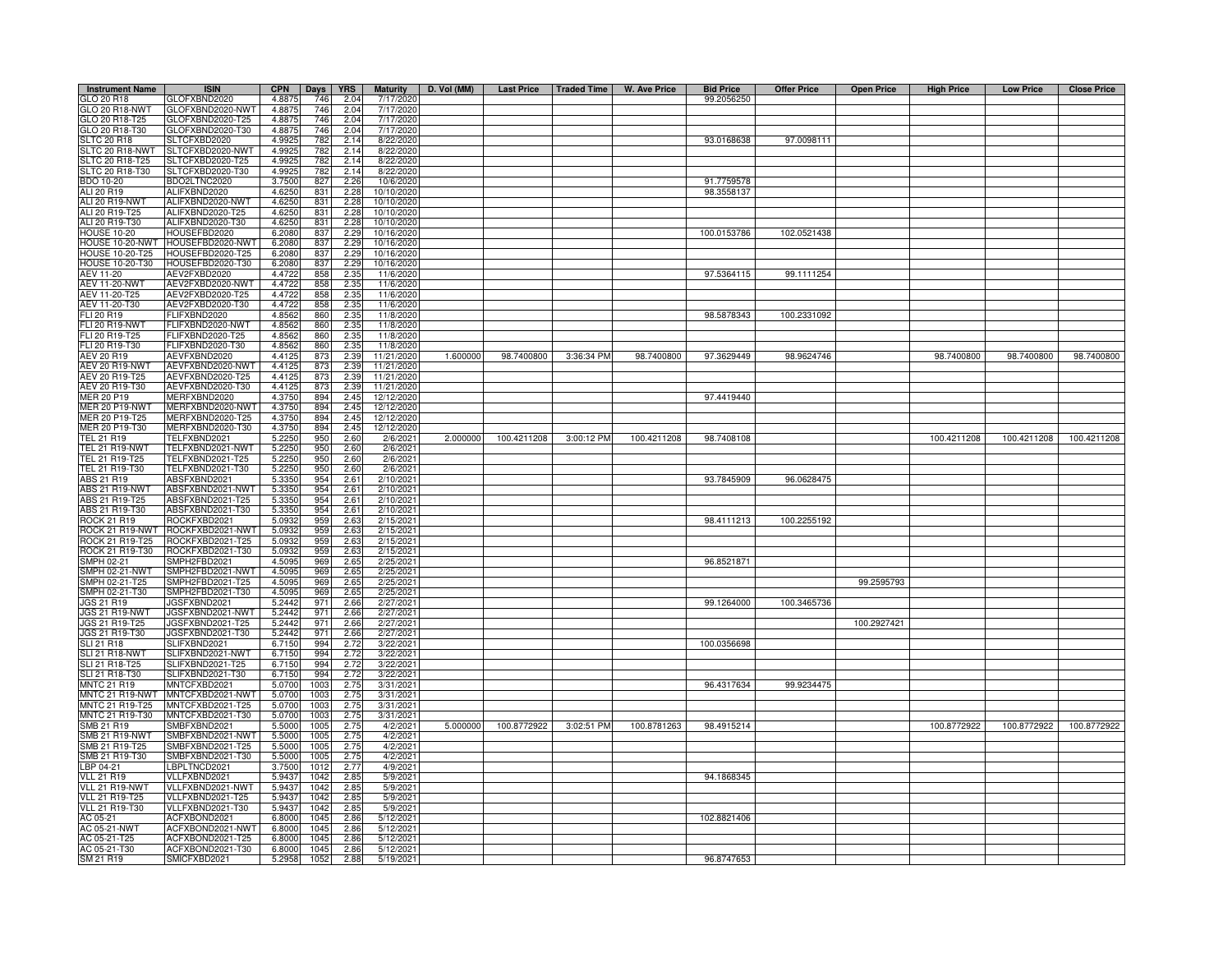| <b>Instrument Name</b>                  | <b>ISIN</b>                            | <b>CPN</b>       | Days         | <b>YRS</b>    | <b>Maturity</b>          | D. Vol (MM) | Last Price   Traded Time |            | W. Ave Price | <b>Bid Price</b> | <b>Offer Price</b> | <b>Open Price</b> | <b>High Price</b> | <b>Low Price</b> | <b>Close Price</b> |
|-----------------------------------------|----------------------------------------|------------------|--------------|---------------|--------------------------|-------------|--------------------------|------------|--------------|------------------|--------------------|-------------------|-------------------|------------------|--------------------|
| GLO 20 R18                              | GLOFXBND2020                           | 4.8875           | 746          | 2.04          | 7/17/2020                |             |                          |            |              | 99.2056250       |                    |                   |                   |                  |                    |
| GLO 20 R18-NWT                          | GLOFXBND2020-NWT                       | 4.8875           | 746          | 2.04          | 7/17/2020                |             |                          |            |              |                  |                    |                   |                   |                  |                    |
| GLO 20 R18-T25                          | 3LOFXBND2020-T25                       | 4.8875           | 746          | 2.04          | 7/17/2020                |             |                          |            |              |                  |                    |                   |                   |                  |                    |
| GLO 20 R18-T30<br><b>SLTC 20 R18</b>    | GLOFXBND2020-T30<br>SLTCFXBD2020       | 4.8875<br>4.992  | 746<br>782   | 2.04<br>2.14  | 7/17/2020<br>8/22/2020   |             |                          |            |              | 93.0168638       | 97.0098111         |                   |                   |                  |                    |
| SLTC 20 R18-NWT                         | SLTCFXBD2020-NWT                       | 4.9925           | 782          | 2.14          | 8/22/2020                |             |                          |            |              |                  |                    |                   |                   |                  |                    |
| <b>SLTC 20 R18-T25</b>                  | SLTCFXBD2020-T25                       | 4.9925           | 782          | 2.14          | 8/22/2020                |             |                          |            |              |                  |                    |                   |                   |                  |                    |
| SLTC 20 R18-T30                         | SLTCFXBD2020-T30                       | 4.9925           | 782          | 2.14          | 8/22/2020                |             |                          |            |              |                  |                    |                   |                   |                  |                    |
| <b>BDO 10-20</b>                        | BDO2LTNC2020                           | 3.7500           | 827          | 2.26          | 10/6/2020                |             |                          |            |              | 91.7759578       |                    |                   |                   |                  |                    |
| ALI 20 R19                              | ALIFXBND2020                           | 4.6250           | 831          | 2.28          | 10/10/2020               |             |                          |            |              | 98.3558137       |                    |                   |                   |                  |                    |
| ALI 20 R19-NWT                          | ALIFXBND2020-NWT                       | 4.6250           | 831          | 2.28          | 10/10/2020               |             |                          |            |              |                  |                    |                   |                   |                  |                    |
| ALI 20 R19-T25                          | ALIFXBND2020-T25                       | 4.6250           | 831          | 2.28          | 10/10/2020               |             |                          |            |              |                  |                    |                   |                   |                  |                    |
| ALI 20 R19-T30<br><b>HOUSE 10-20</b>    | ALIFXBND2020-T30<br>HOUSEFBD2020       | 4.6250<br>6.2080 | 831<br>837   | 2.28<br>2.29  | 10/10/2020<br>10/16/2020 |             |                          |            |              | 100.0153786      | 102.0521438        |                   |                   |                  |                    |
| HOUSE 10-20-NWT                         | HOUSEFBD2020-NWT                       | 6.2080           | 837          | 2.29          | 10/16/2020               |             |                          |            |              |                  |                    |                   |                   |                  |                    |
| HOUSE 10-20-T25                         | OUSEFBD2020-T25                        | 6.2080           | 837          | 2.29          | 10/16/2020               |             |                          |            |              |                  |                    |                   |                   |                  |                    |
| <b>HOUSE 10-20-T30</b>                  | HOUSEFBD2020-T30                       | 6.2080           | 837          | 2.29          | 10/16/2020               |             |                          |            |              |                  |                    |                   |                   |                  |                    |
| <b>AEV 11-20</b>                        | AEV2FXBD2020                           | 4.4722           | 858          | 2.35          | 11/6/2020                |             |                          |            |              | 97.5364115       | 99.1111254         |                   |                   |                  |                    |
| <b>AEV 11-20-NWT</b>                    | AEV2FXBD2020-NWT                       | 4.4722           | 858          | 2.35          | 11/6/202                 |             |                          |            |              |                  |                    |                   |                   |                  |                    |
| AEV 11-20-T25                           | AEV2FXBD2020-T25                       | 4.4722           | 858          | 2.35          | 11/6/2020                |             |                          |            |              |                  |                    |                   |                   |                  |                    |
| AEV 11-20-T30                           | AEV2FXBD2020-T30                       | 4.4722           | 858          | 2.35          | 11/6/2020                |             |                          |            |              |                  |                    |                   |                   |                  |                    |
| FLI 20 R19<br>FLI 20 R19-NWT            | <b>LIFXBND2020</b><br>-LIFXBND2020-NWT | 4.8562<br>4.8562 | 860<br>860   | 2.35<br>2.35  | 11/8/2020<br>11/8/2020   |             |                          |            |              | 98.5878343       | 100.2331092        |                   |                   |                  |                    |
| FLI 20 R19-T25                          | LIFXBND2020-T25                        | 4.8562           | 860          | 2.35          | 11/8/202                 |             |                          |            |              |                  |                    |                   |                   |                  |                    |
| FLI 20 R19-T30                          | FLIFXBND2020-T30                       | 4.8562           | 860          | 2.35          | 11/8/2020                |             |                          |            |              |                  |                    |                   |                   |                  |                    |
| AEV 20 R19                              | AEVFXBND2020                           | 4.4125           | 873          | 2.39          | 11/21/2020               | 1.600000    | 98.7400800               | 3:36:34 PM | 98.7400800   | 97.3629449       | 98.9624746         |                   | 98.7400800        | 98.7400800       | 98.7400800         |
| AEV 20 R19-NWT                          | AEVFXBND2020-NWT                       | 4.4125           | 873          | 2.39          | 11/21/2020               |             |                          |            |              |                  |                    |                   |                   |                  |                    |
| AEV 20 R19-T25                          | AEVFXBND2020-T25                       | 4.4125           | 873          | 2.39          | 11/21/2020               |             |                          |            |              |                  |                    |                   |                   |                  |                    |
| AEV 20 R19-T30                          | AEVFXBND2020-T30                       | 4.4125           | 873          | 2.39          | 11/21/2020               |             |                          |            |              |                  |                    |                   |                   |                  |                    |
| <b>MER 20 P19</b>                       | MERFXBND2020                           | 4.3750           | 894          | 2.45          | 12/12/2020               |             |                          |            |              | 97.4419440       |                    |                   |                   |                  |                    |
| <b>MER 20 P19-NWT</b><br>MER 20 P19-T25 | MERFXBND2020-NWT<br>MERFXBND2020-T25   | 4.3750<br>4.3750 | 894<br>894   | 2.45<br>2.45  | 12/12/2020<br>12/12/2020 |             |                          |            |              |                  |                    |                   |                   |                  |                    |
| MER 20 P19-T30                          | MERFXBND2020-T30                       | 4.3750           | 894          | 2.45          | 12/12/2020               |             |                          |            |              |                  |                    |                   |                   |                  |                    |
| <b>TEL 21 R19</b>                       | TELFXBND2021                           | 5.2250           | 950          | 2.60          | 2/6/2021                 | 2.000000    | 100.4211208 3:00:12 PM   |            | 100.4211208  | 98.7408108       |                    |                   | 100.4211208       | 100.4211208      | 100.4211208        |
| TEL 21 R19-NWT                          | ELFXBND2021-NWT                        | 5.2250           | 950          | 2.60          | 2/6/2021                 |             |                          |            |              |                  |                    |                   |                   |                  |                    |
| TEL 21 R19-T25                          | FELFXBND2021-T25                       | 5.2250           | 950          | 2.60          | 2/6/2021                 |             |                          |            |              |                  |                    |                   |                   |                  |                    |
| TEL 21 R19-T30                          | TELFXBND2021-T30                       | 5.2250           | 950          | 2.60          | 2/6/2021                 |             |                          |            |              |                  |                    |                   |                   |                  |                    |
| ABS 21 R19<br>ABS 21 R19-NWT            | ABSFXBND2021<br>ABSFXBND2021-NWT       | 5.3350<br>5.3350 | 954<br>954   | 2.61          | 2/10/2021<br>2/10/2021   |             |                          |            |              | 93.7845909       | 96.0628475         |                   |                   |                  |                    |
| ABS 21 R19-T25                          | ABSFXBND2021-T25                       | 5.3350           | 954          | 2.61<br>2.61  | 2/10/2021                |             |                          |            |              |                  |                    |                   |                   |                  |                    |
| ABS 21 R19-T30                          | ABSFXBND2021-T30                       | 5.3350           | 954          | 2.61          | 2/10/2021                |             |                          |            |              |                  |                    |                   |                   |                  |                    |
| <b>ROCK 21 R19</b>                      | ROCKFXBD2021                           | 5.0932           | 959          | 2.63          | 2/15/2021                |             |                          |            |              | 98.4111213       | 100.2255192        |                   |                   |                  |                    |
| ROCK 21 R19-NWT                         | ROCKFXBD2021-NWT                       | 5.0932           | 959          | 2.63          | 2/15/202                 |             |                          |            |              |                  |                    |                   |                   |                  |                    |
| ROCK 21 R19-T25                         | ROCKFXBD2021-T25                       | 5.0932           | 959          | $2.6^{\circ}$ | 2/15/202                 |             |                          |            |              |                  |                    |                   |                   |                  |                    |
| ROCK 21 R19-T30<br>MPH 02-21            | ROCKFXBD2021-T30<br>SMPH2FBD2021       | 5.0932<br>4.5095 | 959<br>969   | 2.63<br>2.65  | 2/15/202<br>2/25/2021    |             |                          |            |              | 96.8521871       |                    |                   |                   |                  |                    |
| <b>SMPH 02-21-NWT</b>                   | SMPH2FBD2021-NWT                       | 4.5095           | 969          | 2.65          | 2/25/2021                |             |                          |            |              |                  |                    |                   |                   |                  |                    |
| SMPH 02-21-T25                          | SMPH2FBD2021-T25                       | 4.5095           | 969          | 2.65          | 2/25/202                 |             |                          |            |              |                  |                    | 99.2595793        |                   |                  |                    |
| MPH 02-21-T30                           | MPH2FBD2021-T30                        | 4.5095           | 969          | 2.65          | 2/25/202                 |             |                          |            |              |                  |                    |                   |                   |                  |                    |
| JGS 21 R19                              | JGSFXBND2021                           | 5.2442           | 971          | 2.66          | 2/27/2021                |             |                          |            |              | 99.1264000       | 100.3465736        |                   |                   |                  |                    |
| <b>JGS 21 R19-NWT</b>                   | JGSFXBND2021-NWT                       | 5.2442           | 971          | 2.66          | 2/27/2021                |             |                          |            |              |                  |                    |                   |                   |                  |                    |
| JGS 21 R19-T25<br>JGS 21 R19-T30        | JGSFXBND2021-T25<br>JGSFXBND2021-T30   | 5.2442<br>5.2442 | 971<br>971   | 2.66<br>2.66  | 2/27/2021<br>2/27/2021   |             |                          |            |              |                  |                    | 100.2927421       |                   |                  |                    |
| <b>SLI 21 R18</b>                       | SLIFXBND2021                           | 6.7150           | 994          | 2.72          | 3/22/2021                |             |                          |            |              | 100.0356698      |                    |                   |                   |                  |                    |
| <b>SLI 21 R18-NWT</b>                   | SLIFXBND2021-NWT                       | 6.7150           | 994          | 2.72          | 3/22/2021                |             |                          |            |              |                  |                    |                   |                   |                  |                    |
| SLI 21 R18-T25                          | SLIFXBND2021-T25                       | 6.7150           | 994          | 2.72          | 3/22/2021                |             |                          |            |              |                  |                    |                   |                   |                  |                    |
| SLI 21 R18-T30                          | SLIFXBND2021-T30                       | 6.7150           | 994          | 2.72          | 3/22/2021                |             |                          |            |              |                  |                    |                   |                   |                  |                    |
| <b>MNTC 21 R19</b>                      | MNTCFXBD2021                           | 5.0700           | 1003         | 2.75          | 3/31/2021                |             |                          |            |              | 96.4317634       | 99.9234475         |                   |                   |                  |                    |
| MNTC 21 R19-NWT<br>MNTC 21 R19-T25      | MNTCFXBD2021-NWT<br>MNTCFXBD2021-T25   | 5.0700<br>5.0700 | 1003<br>1003 | 2.75<br>2.75  | 3/31/2021<br>3/31/2021   |             |                          |            |              |                  |                    |                   |                   |                  |                    |
| MNTC 21 R19-T30                         | MNTCFXBD2021-T30                       | 5.0700           | 1003         | 2.75          | 3/31/2021                |             |                          |            |              |                  |                    |                   |                   |                  |                    |
| SMB 21 R19                              | SMBFXBND2021                           | 5.5000           | 1005         | 2.75          | 4/2/2021                 | 5.000000    | 100.8772922              | 3:02:51 PM | 100.8781263  | 98.4915214       |                    |                   | 100.8772922       | 100.8772922      | 100.8772922        |
| SMB 21 R19-NWT                          | SMBFXBND2021-NWT                       | 5.5000           | 1005         | 2.75          | 4/2/2021                 |             |                          |            |              |                  |                    |                   |                   |                  |                    |
| SMB 21 R19-T25                          | SMBFXBND2021-T25                       | 5.5000           | 1005         | 2.75          | 4/2/2021                 |             |                          |            |              |                  |                    |                   |                   |                  |                    |
| SMB 21 R19-T30                          | SMBFXBND2021-T30                       | 5.5000           | 1005         | 2.75          | 4/2/2021                 |             |                          |            |              |                  |                    |                   |                   |                  |                    |
| LBP 04-21<br><b>VLL 21 R19</b>          | BPLTNCD2021<br>VLLFXBND2021            | 3.7500           | 1012<br>1042 | 2.77<br>2.85  | 4/9/2021<br>5/9/2021     |             |                          |            |              | 94.1868345       |                    |                   |                   |                  |                    |
| VLL 21 R19-NWT                          | VLLFXBND2021-NWT                       | 5.9437<br>5.9437 | 1042         | 2.85          | 5/9/202                  |             |                          |            |              |                  |                    |                   |                   |                  |                    |
| <b>VLL 21 R19-T25</b>                   | VLLFXBND2021-T25                       | 5.9437           | 1042         | 2.85          | 5/9/202                  |             |                          |            |              |                  |                    |                   |                   |                  |                    |
| VLL 21 R19-T30                          | VLLFXBND2021-T30                       | 5.9437           | 1042         | 2.85          | 5/9/202                  |             |                          |            |              |                  |                    |                   |                   |                  |                    |
| AC 05-21                                | ACFXBOND2021                           | 6.8000           | 1045         | 2.86          | 5/12/2021                |             |                          |            |              | 102.8821406      |                    |                   |                   |                  |                    |
| AC 05-21-NWT<br>AC 05-21-T25            | ACFXBOND2021-NWT<br>ACFXBOND2021-T25   | 6,8000           | 1045<br>1045 | 2.86<br>2.86  | 5/12/202                 |             |                          |            |              |                  |                    |                   |                   |                  |                    |
| AC 05-21-T30                            | ACFXBOND2021-T30                       | 6.8000<br>6.8000 | 1045         | 2.86          | 5/12/2021<br>5/12/2021   |             |                          |            |              |                  |                    |                   |                   |                  |                    |
| SM 21 R19                               | SMICFXBD2021                           | 5.2958           | 1052         | 2.88          | 5/19/2021                |             |                          |            |              | 96.8747653       |                    |                   |                   |                  |                    |
|                                         |                                        |                  |              |               |                          |             |                          |            |              |                  |                    |                   |                   |                  |                    |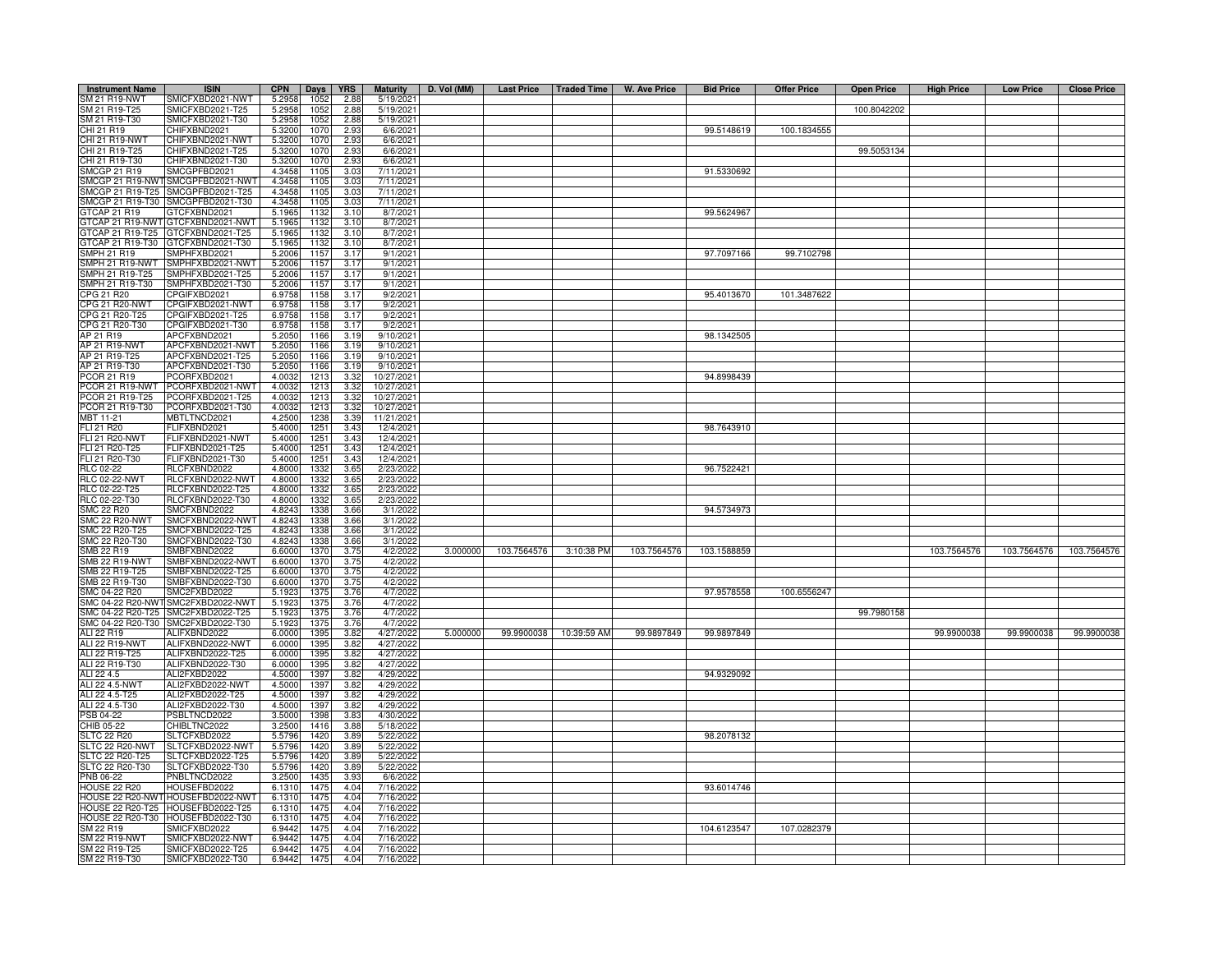| <b>Instrument Name</b>           | <b>ISIN</b>                          | <b>CPN</b>       | Days         | <b>YRS</b>   | <b>Maturity</b>        | D. Vol (MM) |             |                        | Last Price   Traded Time   W. Ave Price | <b>Bid Price</b> | <b>Offer Price</b> | <b>Open Price</b> | <b>High Price</b> | <b>Low Price</b> | <b>Close Price</b> |
|----------------------------------|--------------------------------------|------------------|--------------|--------------|------------------------|-------------|-------------|------------------------|-----------------------------------------|------------------|--------------------|-------------------|-------------------|------------------|--------------------|
| SM 21 R19-NWT                    | SMICFXBD2021-NWT                     | 5.2958           | 1052         | 2.88         | 5/19/2021              |             |             |                        |                                         |                  |                    |                   |                   |                  |                    |
| SM 21 R19-T25                    | SMICFXBD2021-T25                     | 5.2958           | 1052         | 2.88         | 5/19/202               |             |             |                        |                                         |                  |                    | 100.8042202       |                   |                  |                    |
| SM 21 R19-T30                    | MICFXBD2021-T30                      | 5.2958           | 1052         | 2.88         | 5/19/2021              |             |             |                        |                                         |                  |                    |                   |                   |                  |                    |
| CHI 21 R19                       | CHIFXBND2021                         | 5.3200           | 1070         | 2.93         | 6/6/2021               |             |             |                        |                                         | 99.5148619       | 100.1834555        |                   |                   |                  |                    |
| CHI 21 R19-NWT                   | CHIFXBND2021-NWT                     | 5.3200           | 1070         | 2.93         | 6/6/202                |             |             |                        |                                         |                  |                    |                   |                   |                  |                    |
| CHI 21 R19-T25                   | CHIFXBND2021-T25                     | 5.3200           | 1070         | 2.93         | 6/6/202                |             |             |                        |                                         |                  |                    | 99.5053134        |                   |                  |                    |
| CHI 21 R19-T30                   | CHIFXBND2021-T30                     | 5.3200           | 1070         | 2.93         | 6/6/202                |             |             |                        |                                         |                  |                    |                   |                   |                  |                    |
| <b>SMCGP 21 R19</b>              | SMCGPFBD2021                         | 4.3458           | 1105         | 3.03         | 7/11/2021              |             |             |                        |                                         | 91.5330692       |                    |                   |                   |                  |                    |
| SMCGP 21 R19-NWT                 | SMCGPFBD2021-NWT                     | 4.3458           | 1105         | 3.03         | 7/11/202               |             |             |                        |                                         |                  |                    |                   |                   |                  |                    |
| SMCGP 21 R19-T25                 | SMCGPFBD2021-T25                     | 4.3458           | 1105         | 3.03         | 7/11/2021              |             |             |                        |                                         |                  |                    |                   |                   |                  |                    |
|                                  | SMCGP 21 R19-T30 SMCGPFBD2021-T30    | 4.3458           | 1105         | 3.03         | 7/11/2021              |             |             |                        |                                         |                  |                    |                   |                   |                  |                    |
| 3TCAP 21 R19                     | TCFXBND2021                          | 5.1965           | 1132         | 3.10         | 8/7/2021               |             |             |                        |                                         | 99.5624967       |                    |                   |                   |                  |                    |
| GTCAP 21 R19-NWT                 | GTCFXBND2021-NWT                     | 5.1965           | 1132         | 3.10         | 8/7/2021               |             |             |                        |                                         |                  |                    |                   |                   |                  |                    |
| GTCAP 21 R19-T25                 | GTCFXBND2021-T25                     | 5.1965           | 1132         | 3.10         | 8/7/2021               |             |             |                        |                                         |                  |                    |                   |                   |                  |                    |
| GTCAP 21 R19-T30                 | GTCFXBND2021-T30                     | 5.1965           | 1132         | 3.10         | 8/7/2021               |             |             |                        |                                         |                  |                    |                   |                   |                  |                    |
| SMPH 21 R19                      | MPHFXBD2021                          | 5.2006           | 115          | 3.17         | 9/1/202                |             |             |                        |                                         | 97.7097166       | 99.7102798         |                   |                   |                  |                    |
| SMPH 21 R19-NWT                  | MPHFXBD2021-NWT                      | 5.2006           | 115          | 3.17         | 9/1/202                |             |             |                        |                                         |                  |                    |                   |                   |                  |                    |
| MPH 21 R19-T25                   | MPHFXBD2021-T25                      | 5.2006           | 115          | 3.17         | 9/1/202                |             |             |                        |                                         |                  |                    |                   |                   |                  |                    |
| MPH 21 R19-T30                   | MPHFXBD2021-T30                      | 5.2006           | 115<br>1158  | 3.17<br>3.17 | 9/1/202                |             |             |                        |                                         | 95.4013670       | 101.3487622        |                   |                   |                  |                    |
| CPG 21 R20                       | CPGIFXBD2021                         | 6.9758           | 1158         | 3.17         | 9/2/202                |             |             |                        |                                         |                  |                    |                   |                   |                  |                    |
| CPG 21 R20-NWT                   | CPGIFXBD2021-NWT                     | 6.9758           |              |              | 9/2/202                |             |             |                        |                                         |                  |                    |                   |                   |                  |                    |
| CPG 21 R20-T25<br>CPG 21 R20-T30 | CPGIFXBD2021-T25<br>CPGIFXBD2021-T30 | 6.9758<br>6.9758 | 1158<br>1158 | 3.17<br>3.17 | 9/2/202<br>9/2/202     |             |             |                        |                                         |                  |                    |                   |                   |                  |                    |
| AP 21 R19                        | APCFXBND2021                         | 5.2050           | 1166         | 3.19         | 9/10/2021              |             |             |                        |                                         | 98.1342505       |                    |                   |                   |                  |                    |
| AP 21 R19-NWT                    | APCFXBND2021-NWT                     | 5.2050           | 1166         | 3.19         | 9/10/2021              |             |             |                        |                                         |                  |                    |                   |                   |                  |                    |
| AP 21 R19-T25                    | APCFXBND2021-T25                     | 5.2050           | 1166         | 3.19         | 9/10/202               |             |             |                        |                                         |                  |                    |                   |                   |                  |                    |
| AP 21 R19-T30                    | APCFXBND2021-T30                     | 5.2050           | 1166         | 3.19         | 9/10/202               |             |             |                        |                                         |                  |                    |                   |                   |                  |                    |
| PCOR 21 R19                      | PCORFXBD2021                         | 4.0032           | 1213         | 3.32         | 10/27/2021             |             |             |                        |                                         | 94.8998439       |                    |                   |                   |                  |                    |
| PCOR 21 R19-NWT                  | PCORFXBD2021-NWT                     | 4.0032           | 1213         | 3.32         | 10/27/202              |             |             |                        |                                         |                  |                    |                   |                   |                  |                    |
| PCOR 21 R19-T25                  | PCORFXBD2021-T25                     | 4.0032           | 1213         | 3.32         | 10/27/2021             |             |             |                        |                                         |                  |                    |                   |                   |                  |                    |
| PCOR 21 R19-T30                  | PCORFXBD2021-T30                     | 4.0032           | 1213         | 3.32         | 10/27/2021             |             |             |                        |                                         |                  |                    |                   |                   |                  |                    |
| MBT 11-21                        | <b>MBTLTNCD2021</b>                  | 4.2500           | 1238         | 3.39         | 11/21/2021             |             |             |                        |                                         |                  |                    |                   |                   |                  |                    |
| FLI 21 R20                       | FLIFXBND2021                         | 5.4000           | 1251         | 3.43         | 12/4/2021              |             |             |                        |                                         | 98.7643910       |                    |                   |                   |                  |                    |
| <b>FLI 21 R20-NWT</b>            | <b>ELIFXBND2021-NWT</b>              | 5.4000           | 1251         | 3.43         | 12/4/2021              |             |             |                        |                                         |                  |                    |                   |                   |                  |                    |
| FLI 21 R20-T25                   | -LIFXBND2021-T25                     | 5.4000           | 1251         | 3.43         | 12/4/2021              |             |             |                        |                                         |                  |                    |                   |                   |                  |                    |
| FLI 21 R20-T30                   | FLIFXBND2021-T30                     | 5.4000           | 1251         | 3.43         | 12/4/2021              |             |             |                        |                                         |                  |                    |                   |                   |                  |                    |
| <b>RLC 02-22</b>                 | RLCFXBND2022                         | 4.8000           | 1332         | 3.65         | 2/23/202               |             |             |                        |                                         | 96.7522421       |                    |                   |                   |                  |                    |
| <b>RLC 02-22-NWT</b>             | RLCFXBND2022-NWT                     | 4.8000           | 1332         | 3.65         | 2/23/2022              |             |             |                        |                                         |                  |                    |                   |                   |                  |                    |
| RLC 02-22-T25                    | RLCFXBND2022-T25                     | 4.8000           | 1332         | 3.65         | 2/23/2022              |             |             |                        |                                         |                  |                    |                   |                   |                  |                    |
| RLC 02-22-T30                    | RLCFXBND2022-T30                     | 4.8000           | 1332         | 3.65         | 2/23/2022              |             |             |                        |                                         |                  |                    |                   |                   |                  |                    |
| <b>SMC 22 R20</b>                | SMCFXBND2022                         | 4.8243           | 1338         | 3.66         | 3/1/2022               |             |             |                        |                                         | 94.5734973       |                    |                   |                   |                  |                    |
| <b>SMC 22 R20-NWT</b>            | SMCFXBND2022-NWT                     | 4.8243           | 1338         | 3.66         | 3/1/2022               |             |             |                        |                                         |                  |                    |                   |                   |                  |                    |
| MC 22 R20-T25                    | SMCFXBND2022-T25                     | 4.8243           | 1338         | 3.66         | 3/1/2022               |             |             |                        |                                         |                  |                    |                   |                   |                  |                    |
| MC 22 R20-T30                    | MCFXBND2022-T30                      | 4.8243           | 1338         | 3.66         | 3/1/2022               |             |             |                        |                                         |                  |                    |                   |                   |                  |                    |
| SMB 22 R19                       | SMBFXBND2022                         | 6.6000           | 1370         | 3.75         | 4/2/2022               | 3.000000    | 103.7564576 | 3:10:38 PM             | 103.7564576                             | 103.1588859      |                    |                   | 103.7564576       | 103.7564576      | 103.7564576        |
| SMB 22 R19-NWT                   | SMBFXBND2022-NWT                     | 6.6000           | 1370         | 3.75         | 4/2/2022               |             |             |                        |                                         |                  |                    |                   |                   |                  |                    |
| SMB 22 R19-T25                   | SMBFXBND2022-T25                     | 6.6000           | 1370         | 3.75         | 4/2/2022               |             |             |                        |                                         |                  |                    |                   |                   |                  |                    |
| SMB 22 R19-T30                   | SMBFXBND2022-T30                     | 6.6000           | 1370         | 3.75         | 4/2/2022               |             |             |                        |                                         |                  |                    |                   |                   |                  |                    |
| SMC 04-22 R20                    | MC2FXBD2022                          | 5.192            | 1375         | 3.7(         | 4/7/2022               |             |             |                        |                                         | 97.9578558       | 100.6556247        |                   |                   |                  |                    |
| SMC 04-22 R20-NW                 | SMC2FXBD2022-NWT                     | 5.192            | 1375         | 3.76         | 4/7/2022               |             |             |                        |                                         |                  |                    |                   |                   |                  |                    |
| SMC 04-22 R20-T25                | SMC2FXBD2022-T25                     | 5.192            | 1375         | 3.76         | 4/7/2022               |             |             |                        |                                         |                  |                    | 99.7980158        |                   |                  |                    |
| SMC 04-22 R20-T30                | SMC2FXBD2022-T30                     | 5.1923           | 1375         | 3.76         | 4/7/2022               |             |             |                        |                                         |                  |                    |                   |                   |                  |                    |
| ALI 22 R19                       | ALIFXBND2022                         | 6.0000           | 1395         | 3.82         | 4/27/2022              | 5.000000    |             | 99.9900038 10:39:59 AM | 99.9897849                              | 99.9897849       |                    |                   | 99.9900038        | 99.9900038       | 99.9900038         |
| ALI 22 R19-NWT                   | ALIFXBND2022-NWT                     | 6.0000           | 1395         | 3.82         | 4/27/2022              |             |             |                        |                                         |                  |                    |                   |                   |                  |                    |
| ALI 22 R19-T25                   | ALIFXBND2022-T25                     | 6.0000           | 1395         | 3.82         | 4/27/202               |             |             |                        |                                         |                  |                    |                   |                   |                  |                    |
| ALI 22 R19-T30                   | ALIFXBND2022-T30                     | 6.0000           | 1395         | 3.82         | 4/27/202               |             |             |                        |                                         |                  |                    |                   |                   |                  |                    |
| ALI 22 4.5                       | ALI2FXBD2022                         | 4.5000           | 1397         | 3.82         | 4/29/2022              |             |             |                        |                                         | 94.9329092       |                    |                   |                   |                  |                    |
| ALI 22 4.5-NWT                   | ALI2FXBD2022-NWT                     | 4.5000           | 1397         | 3.82         | 4/29/2022              |             |             |                        |                                         |                  |                    |                   |                   |                  |                    |
| ALI 22 4.5-T25                   | ALI2FXBD2022-T25                     | 4.5000           | 1397         | 3.82         | 4/29/2022              |             |             |                        |                                         |                  |                    |                   |                   |                  |                    |
| ALI 22 4.5-T30                   | ALI2FXBD2022-T30                     | 4.5000           | 1397         | 3.82         | 4/29/2022              |             |             |                        |                                         |                  |                    |                   |                   |                  |                    |
| PSB 04-22<br>CHIB 05-22          | PSBLTNCD2022                         | 3.5000           | 1398<br>1416 | 3.83         | 4/30/2022              |             |             |                        |                                         |                  |                    |                   |                   |                  |                    |
| SLTC 22 R20                      | CHIBLTNC2022<br>SLTCFXBD2022         | 3.2500<br>5.5796 | 1420         | 3.88<br>3.89 | 5/18/2022<br>5/22/2022 |             |             |                        |                                         | 98.2078132       |                    |                   |                   |                  |                    |
| SLTC 22 R20-NWT                  | SLTCFXBD2022-NWT                     | 5.5796           | 1420         | 3.89         | 5/22/2022              |             |             |                        |                                         |                  |                    |                   |                   |                  |                    |
| SLTC 22 R20-T25                  | SLTCFXBD2022-T25                     | 5.5796           | 1420         | 3.89         | 5/22/2022              |             |             |                        |                                         |                  |                    |                   |                   |                  |                    |
| SLTC 22 R20-T30                  | SLTCFXBD2022-T30                     | 5.5796           | 1420         | 3.89         | 5/22/2022              |             |             |                        |                                         |                  |                    |                   |                   |                  |                    |
| PNB 06-22                        | PNBLTNCD2022                         | 3.2500           | 1435         | 3.93         | 6/6/2022               |             |             |                        |                                         |                  |                    |                   |                   |                  |                    |
| HOUSE 22 R20                     | HOUSEFBD2022                         | 6.1310           | 147          | 4.04         | 7/16/2022              |             |             |                        |                                         | 93.6014746       |                    |                   |                   |                  |                    |
| HOUSE 22 R20-NWT                 | HOUSEFBD2022-NWT                     | 6.1310           | 147          | 4.04         | 7/16/2022              |             |             |                        |                                         |                  |                    |                   |                   |                  |                    |
| <b>HOUSE 22 R20-T25</b>          | HOUSEFBD2022-T25                     | 6.1310           | 147          | 4.04         | 7/16/202               |             |             |                        |                                         |                  |                    |                   |                   |                  |                    |
| <b>HOUSE 22 R20-T30</b>          | HOUSEFBD2022-T30                     | 6.1310           | 1475         | 4.04         | 7/16/2022              |             |             |                        |                                         |                  |                    |                   |                   |                  |                    |
| SM 22 R19                        | <b>SMICFXBD2022</b>                  | 6.9442           | 1475         | 4.04         | 7/16/2022              |             |             |                        |                                         | 104.6123547      | 107.0282379        |                   |                   |                  |                    |
| SM 22 R19-NWT                    | SMICFXBD2022-NWT                     | 6.9442           | 1475         | 4.04         | 7/16/2022              |             |             |                        |                                         |                  |                    |                   |                   |                  |                    |
| SM 22 R19-T25                    | SMICFXBD2022-T25                     | 6.9442           | 1475         | 4.04         | 7/16/202               |             |             |                        |                                         |                  |                    |                   |                   |                  |                    |
| SM 22 R19-T30                    | SMICFXBD2022-T30                     | 6.9442           | 1475         | 4.04         | 7/16/2022              |             |             |                        |                                         |                  |                    |                   |                   |                  |                    |
|                                  |                                      |                  |              |              |                        |             |             |                        |                                         |                  |                    |                   |                   |                  |                    |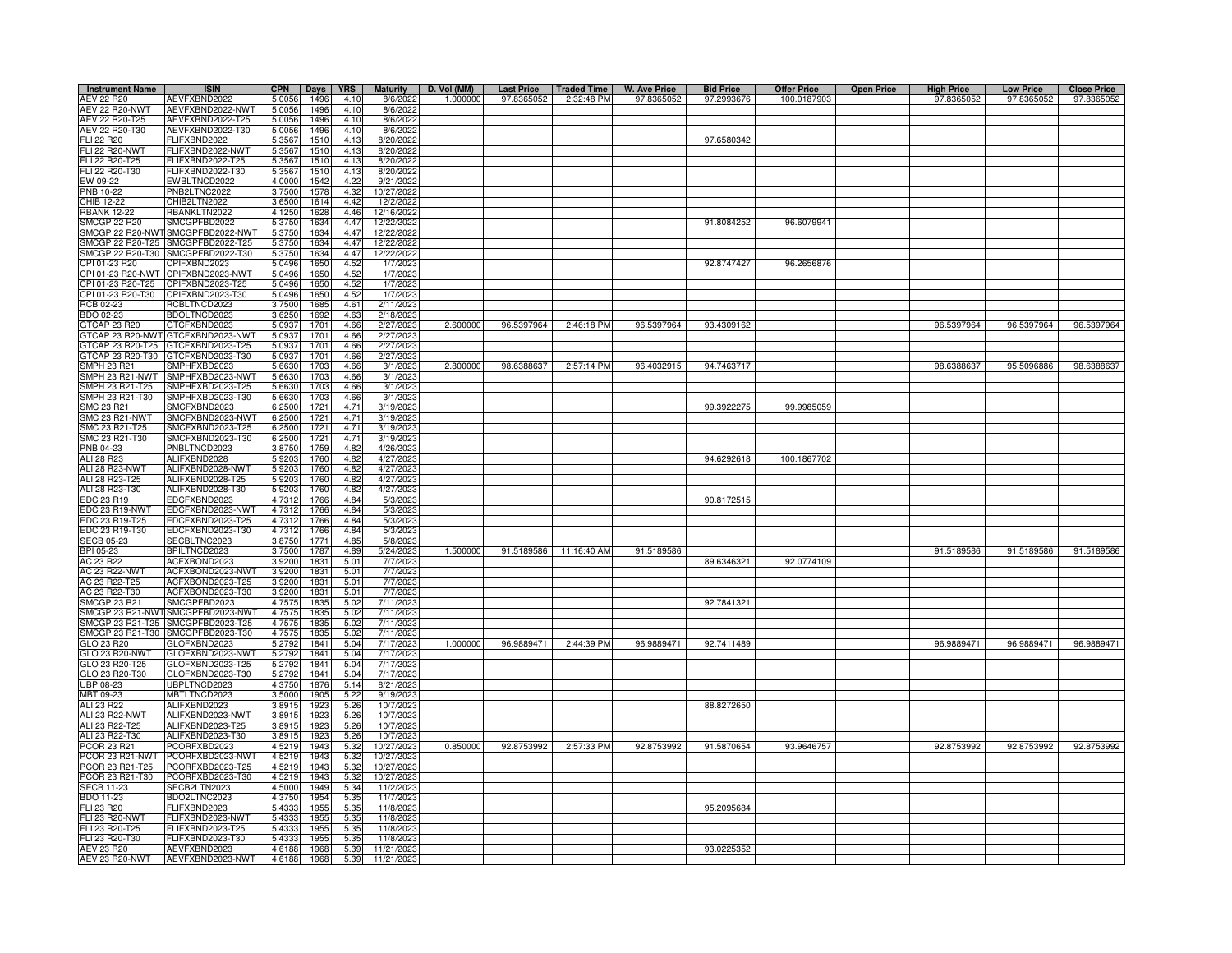| <b>Instrument Name</b>               | <b>ISIN</b>                                           | <b>CPN</b>       | <b>Days</b>  | <b>YRS</b>    | <b>Maturity</b>          | D. Vol (MM) | <b>Last Price</b> | <b>Traded Time</b>    | <b>W. Ave Price</b> | <b>Bid Price</b> | <b>Offer Price</b> | <b>Open Price</b> | <b>High Price</b> | <b>Low Price</b> | <b>Close Price</b> |
|--------------------------------------|-------------------------------------------------------|------------------|--------------|---------------|--------------------------|-------------|-------------------|-----------------------|---------------------|------------------|--------------------|-------------------|-------------------|------------------|--------------------|
| AEV 22 R20                           | AEVFXBND2022                                          | 5.0056           | 1496         | 4.10          | 8/6/202                  | 1.000000    | 97.8365052        | 2:32:48 PM            | 97.8365052          | 97.2993676       | 100.0187903        |                   | 97.8365052        | 97.8365052       | 97.8365052         |
| <b>AEV 22 R20-NWT</b>                | AEVFXBND2022-NWT                                      | 5.0056           | 1496         | 4.10          | 8/6/202                  |             |                   |                       |                     |                  |                    |                   |                   |                  |                    |
| AEV 22 R20-T25                       | AEVFXBND2022-T25                                      | 5.0056           | 1496         | 4.10          | 8/6/2022                 |             |                   |                       |                     |                  |                    |                   |                   |                  |                    |
| AEV 22 R20-T30<br>FLI 22 R20         | AEVFXBND2022-T30<br><b>LIFXBND2022</b>                | 5.0056<br>5.3567 | 1496<br>1510 | 4.10<br>4.13  | 8/6/202<br>8/20/2022     |             |                   |                       |                     | 97.6580342       |                    |                   |                   |                  |                    |
| <b>FLI 22 R20-NWT</b>                | LIFXBND2022-NWT                                       | 5.3567           | 1510         | 4.13          | 8/20/2022                |             |                   |                       |                     |                  |                    |                   |                   |                  |                    |
| FLI 22 R20-T25                       | FLIFXBND2022-T25                                      | 5.3567           | 1510         | 4.13          | 8/20/202                 |             |                   |                       |                     |                  |                    |                   |                   |                  |                    |
| FLI 22 R20-T30                       | FLIFXBND2022-T30                                      | 5.3567           | 1510         | 4.13          | 8/20/202                 |             |                   |                       |                     |                  |                    |                   |                   |                  |                    |
| EW 09-22                             | EWBLTNCD2022                                          | 4.0000           | 1542         | 4.22          | 9/21/202                 |             |                   |                       |                     |                  |                    |                   |                   |                  |                    |
| <b>PNB 10-22</b>                     | PNB2LTNC2022                                          | 3.7500           | 1578         | 4.32          | 10/27/2022               |             |                   |                       |                     |                  |                    |                   |                   |                  |                    |
| CHIB 12-22                           | CHIB2LTN2022                                          | 3.6500           | 1614         | 4.42          | 12/2/2022                |             |                   |                       |                     |                  |                    |                   |                   |                  |                    |
| <b>RBANK 12-22</b>                   | <b>BANKLTN2022</b>                                    | 4.1250           | 1628         | 4.46          | 12/16/202                |             |                   |                       |                     |                  |                    |                   |                   |                  |                    |
| SMCGP 22 R20<br>SMCGP 22 R20-NWT     | SMCGPFBD2022<br>SMCGPFBD2022-NWT                      | 5.3750<br>5.3750 | 1634<br>1634 | 4.47<br>4.47  | 12/22/2022<br>12/22/202  |             |                   |                       |                     | 91.8084252       | 96.6079941         |                   |                   |                  |                    |
|                                      | SMCGP 22 R20-T25 SMCGPFBD2022-T25                     | 5.3750           | 1634         | 4.47          | 12/22/2022               |             |                   |                       |                     |                  |                    |                   |                   |                  |                    |
|                                      | SMCGP 22 R20-T30 SMCGPFBD2022-T30                     | 5.3750           | 1634         | 4.47          | 12/22/2022               |             |                   |                       |                     |                  |                    |                   |                   |                  |                    |
| CPI 01-23 R20                        | CPIFXBND2023                                          | 5.0496           | 1650         | 4.52          | 1/7/2023                 |             |                   |                       |                     | 92.8747427       | 96.2656876         |                   |                   |                  |                    |
| CPI 01-23 R20-NWT                    | CPIFXBND2023-NWT                                      | 5.0496           | 1650         | 4.52          | 1/7/202                  |             |                   |                       |                     |                  |                    |                   |                   |                  |                    |
| PI 01-23 R20-T25                     | CPIFXBND2023-T25                                      | 5.0496           | 1650         | 4.52          | 1/7/202                  |             |                   |                       |                     |                  |                    |                   |                   |                  |                    |
| CPI 01-23 R20-T30                    | CPIFXBND2023-T30                                      | 5.0496           | 1650         | 4.52          | 1/7/202                  |             |                   |                       |                     |                  |                    |                   |                   |                  |                    |
| RCB 02-23                            | RCBLTNCD2023                                          | 3.7500           | 1685         | $4.6^{\circ}$ | 2/11/202                 |             |                   |                       |                     |                  |                    |                   |                   |                  |                    |
| BDO 02-23                            | BDOLTNCD2023                                          | 3.6250           | 1692         | 4.63          | 2/18/202                 |             |                   |                       |                     |                  |                    |                   |                   |                  |                    |
| GTCAP 23 R20                         | GTCFXBND2023                                          | 5.0937           | 1701         | 4.66          | 2/27/2023                | 2.600000    | 96.5397964        | 2:46:18 PM            | 96.5397964          | 93.4309162       |                    |                   | 96.5397964        | 96.5397964       | 96.5397964         |
| GTCAP 23 R20-NW                      | GTCFXBND2023-NWT<br>GTCFXBND2023-T25                  | 5.0937           | 1701<br>1701 | 4.66<br>4.66  | 2/27/202                 |             |                   |                       |                     |                  |                    |                   |                   |                  |                    |
| GTCAP 23 R20-T25<br>GTCAP 23 R20-T30 | GTCFXBND2023-T30                                      | 5.0937<br>5.0937 | 1701         | 4.66          | 2/27/202<br>2/27/202     |             |                   |                       |                     |                  |                    |                   |                   |                  |                    |
| SMPH 23 R21                          | MPHFXBD2023                                           | 5.6630           | 1703         | 4.66          | 3/1/202                  | 2.800000    | 98.6388637        | 2:57:14 PM            | 96.4032915          | 94.7463717       |                    |                   | 98.6388637        | 95.5096886       | 98.6388637         |
| SMPH 23 R21-NWT                      | SMPHFXBD2023-NWT                                      | 5.6630           | 1703         | 4.66          | 3/1/2023                 |             |                   |                       |                     |                  |                    |                   |                   |                  |                    |
| SMPH 23 R21-T25                      | SMPHFXBD2023-T25                                      | 5.6630           | 1703         | 4.66          | 3/1/202                  |             |                   |                       |                     |                  |                    |                   |                   |                  |                    |
| MPH 23 R21-T30                       | MPHFXBD2023-T30                                       | 5.6630           | 1703         | 4.66          | 3/1/202                  |             |                   |                       |                     |                  |                    |                   |                   |                  |                    |
| SMC 23 R21                           | MCFXBND2023                                           | 6.2500           | 1721         | 4.71          | 3/19/202                 |             |                   |                       |                     | 99.3922275       | 99.9985059         |                   |                   |                  |                    |
| SMC 23 R21-NWT                       | MCFXBND2023-NWT                                       | 6.2500           | 1721         | 4.71          | 3/19/202                 |             |                   |                       |                     |                  |                    |                   |                   |                  |                    |
| SMC 23 R21-T25                       | MCFXBND2023-T25                                       | 6.2500           | 1721         | 4.71          | 3/19/202                 |             |                   |                       |                     |                  |                    |                   |                   |                  |                    |
| SMC 23 R21-T30                       | MCFXBND2023-T30                                       | 6.2500           | 1721         | 4.71          | 3/19/202                 |             |                   |                       |                     |                  |                    |                   |                   |                  |                    |
| <b>PNB 04-23</b>                     | PNBLTNCD2023                                          | 3.8750           | 1759         | 4.82          | 4/26/202                 |             |                   |                       |                     |                  |                    |                   |                   |                  |                    |
| ALI 28 R23                           | ALIFXBND2028                                          | 5.9203           | 1760         | 4.82          | 4/27/202                 |             |                   |                       |                     | 94.6292618       | 100.1867702        |                   |                   |                  |                    |
| ALI 28 R23-NWT                       | ALIFXBND2028-NWT                                      | 5.920            | 1760         | 4.82          | 4/27/202                 |             |                   |                       |                     |                  |                    |                   |                   |                  |                    |
| ALI 28 R23-T25                       | ALIFXBND2028-T25                                      | 5.9203           | 1760         | 4.82          | 4/27/202                 |             |                   |                       |                     |                  |                    |                   |                   |                  |                    |
| ALI 28 R23-T30<br>EDC 23 R19         | ALIFXBND2028-T30<br>EDCFXBND2023                      | 5.920<br>4.7312  | 1760<br>1766 | 4.82<br>4.84  | 4/27/202<br>5/3/2023     |             |                   |                       |                     | 90.8172515       |                    |                   |                   |                  |                    |
| <b>EDC 23 R19-NWT</b>                | EDCFXBND2023-NWT                                      | 4.7312           | 1766         | 4.84          | 5/3/2023                 |             |                   |                       |                     |                  |                    |                   |                   |                  |                    |
| EDC 23 R19-T25                       | EDCFXBND2023-T25                                      | 4.7312           | 1766         | 4.84          | 5/3/202                  |             |                   |                       |                     |                  |                    |                   |                   |                  |                    |
| DC 23 R19-T30                        | EDCFXBND2023-T30                                      | 4.7312           | 1766         | 4.84          | 5/3/2023                 |             |                   |                       |                     |                  |                    |                   |                   |                  |                    |
| ECB 05-23                            | SECBLTNC2023                                          | 3.8750           | 1771         | 4.85          | 5/8/2023                 |             |                   |                       |                     |                  |                    |                   |                   |                  |                    |
| BPI 05-23                            | BPILTNCD2023                                          | 3.7500           | 1787         | 4.89          | 5/24/2023                | 1.500000    | 91.5189586        | 11:16:40 AM           | 91.5189586          |                  |                    |                   | 91.5189586        | 91.5189586       | 91.5189586         |
| AC 23 R22                            | ACFXBOND2023                                          | 3.9200           | 1831         | 5.01          | 7/7/2023                 |             |                   |                       |                     | 89.6346321       | 92.0774109         |                   |                   |                  |                    |
| <b>AC 23 R22-NWT</b>                 | ACFXBOND2023-NWT                                      | 3.9200           | 1831         | 5.01          | 7/7/202                  |             |                   |                       |                     |                  |                    |                   |                   |                  |                    |
| AC 23 R22-T25                        | ACFXBOND2023-T25                                      | 3.9200           | 1831         | 5.01          | 7/7/2023                 |             |                   |                       |                     |                  |                    |                   |                   |                  |                    |
| AC 23 R22-T30                        | ACFXBOND2023-T30                                      | 3.9200           | 1831         | $5.0^{\circ}$ | 7/7/202                  |             |                   |                       |                     |                  |                    |                   |                   |                  |                    |
| SMCGP 23 R21                         | SMCGPFBD2023                                          | 4.7575           | 1835         | 5.02          | 7/11/2023                |             |                   |                       |                     | 92.7841321       |                    |                   |                   |                  |                    |
| SMCGP 23 R21-NWT                     | SMCGPFBD2023-NWT                                      | 4.7575           | 1835         | 5.02          | 7/11/202                 |             |                   |                       |                     |                  |                    |                   |                   |                  |                    |
| MCGP 23 R21-T25                      | SMCGPFBD2023-T25<br>SMCGP 23 R21-T30 SMCGPFBD2023-T30 | 4.7575<br>4.7575 | 1835<br>1835 | 5.02<br>5.02  | 7/11/202<br>7/11/2023    |             |                   |                       |                     |                  |                    |                   |                   |                  |                    |
| GLO 23 R20                           | GLOFXBND2023                                          | 5.2792           | 1841         | 5.04          | 7/17/202                 | 1.000000    | 96.9889471        | 2:44:39 PM            | 96.9889471          | 92.7411489       |                    |                   | 96.9889471        | 96.9889471       | 96.9889471         |
| GLO 23 R20-NWT                       | GLOFXBND2023-NWT                                      | 5.2792           | 1841         | 5.04          | 7/17/202                 |             |                   |                       |                     |                  |                    |                   |                   |                  |                    |
| GLO 23 R20-T25                       | GLOFXBND2023-T25                                      | 5.2792           | 1841         | 5.04          | 7/17/202                 |             |                   |                       |                     |                  |                    |                   |                   |                  |                    |
| GLO 23 R20-T30                       | 3LOFXBND2023-T30                                      | 5.2792           | 1841         | 5.04          | 7/17/202                 |             |                   |                       |                     |                  |                    |                   |                   |                  |                    |
| UBP 08-23                            | JBPLTNCD2023                                          | 4.3750           | 1876         | 5.14          | 8/21/202                 |             |                   |                       |                     |                  |                    |                   |                   |                  |                    |
| MBT 09-23                            | <b>MBTLTNCD2023</b>                                   | 3.5000           | 1905         | 5.22          | 9/19/202                 |             |                   |                       |                     |                  |                    |                   |                   |                  |                    |
| ALI 23 R22                           | ALIFXBND2023                                          | 3.8915           | 1923         | 5.26          | 10/7/202                 |             |                   |                       |                     | 88.8272650       |                    |                   |                   |                  |                    |
| ALI 23 R22-NWT                       | ALIFXBND2023-NWT                                      | 3.8915           | 1923         | 5.26          | 10/7/202                 |             |                   |                       |                     |                  |                    |                   |                   |                  |                    |
| ALI 23 R22-T25                       | ALIFXBND2023-T25                                      | 3.8915           | 1923         | 5.26          | 10/7/202                 |             |                   |                       |                     |                  |                    |                   |                   |                  |                    |
| ALI 23 R22-T30                       | ALIFXBND2023-T30                                      | 3.8915           | 192          | 5.26          | 10/7/202                 |             |                   |                       |                     |                  |                    |                   |                   |                  |                    |
| PCOR 23 R21<br>PCOR 23 R21-NWT       | PCORFXBD2023<br>PCORFXBD2023-NWT                      | 4.5219<br>4.5219 | 1943<br>1943 | 5.32<br>5.32  | 10/27/2023<br>10/27/2023 | 0.850000    |                   | 92.8753992 2:57:33 PM | 92.8753992          | 91.5870654       | 93.9646757         |                   | 92.8753992        | 92.8753992       | 92.8753992         |
| PCOR 23 R21-T25                      | PCORFXBD2023-T25                                      | 4.5219           | 1943         | 5.32          | 10/27/2023               |             |                   |                       |                     |                  |                    |                   |                   |                  |                    |
| PCOR 23 R21-T30                      | PCORFXBD2023-T30                                      | 4.5219           | 1943         | 5.32          | 10/27/2023               |             |                   |                       |                     |                  |                    |                   |                   |                  |                    |
| ECB 11-23                            | SECB2LTN2023                                          | 4.5000           | 1949         | 5.34          | 11/2/202                 |             |                   |                       |                     |                  |                    |                   |                   |                  |                    |
| BDO 11-23                            | BDO2LTNC2023                                          | 4.3750           | 1954         | 5.35          | 11/7/202                 |             |                   |                       |                     |                  |                    |                   |                   |                  |                    |
| FLI 23 R20                           | FLIFXBND2023                                          | 5.4333           | 1955         | 5.35          | 11/8/202                 |             |                   |                       |                     | 95.2095684       |                    |                   |                   |                  |                    |
| <b>FLI 23 R20-NWT</b>                | <b>LIFXBND2023-NWT</b>                                | 5.4333           | 1955         | 5.35          | 11/8/202                 |             |                   |                       |                     |                  |                    |                   |                   |                  |                    |
| FLI 23 R20-T25                       | LIFXBND2023-T25                                       | 5.4333           | 1955         | 5.35          | 11/8/202                 |             |                   |                       |                     |                  |                    |                   |                   |                  |                    |
| FLI 23 R20-T30                       | ELIFXBND2023-T30                                      | 5.4333           | 1955         | 5.35          | 11/8/202                 |             |                   |                       |                     |                  |                    |                   |                   |                  |                    |
| AEV 23 R20                           | AEVFXBND2023                                          | 4.6188           | 1968         | 5.39          | 11/21/202                |             |                   |                       |                     | 93.0225352       |                    |                   |                   |                  |                    |
| <b>AEV 23 R20-NWT</b>                | AEVFXBND2023-NWT                                      | 4.6188           | 1968         | 5.39          | 11/21/2023               |             |                   |                       |                     |                  |                    |                   |                   |                  |                    |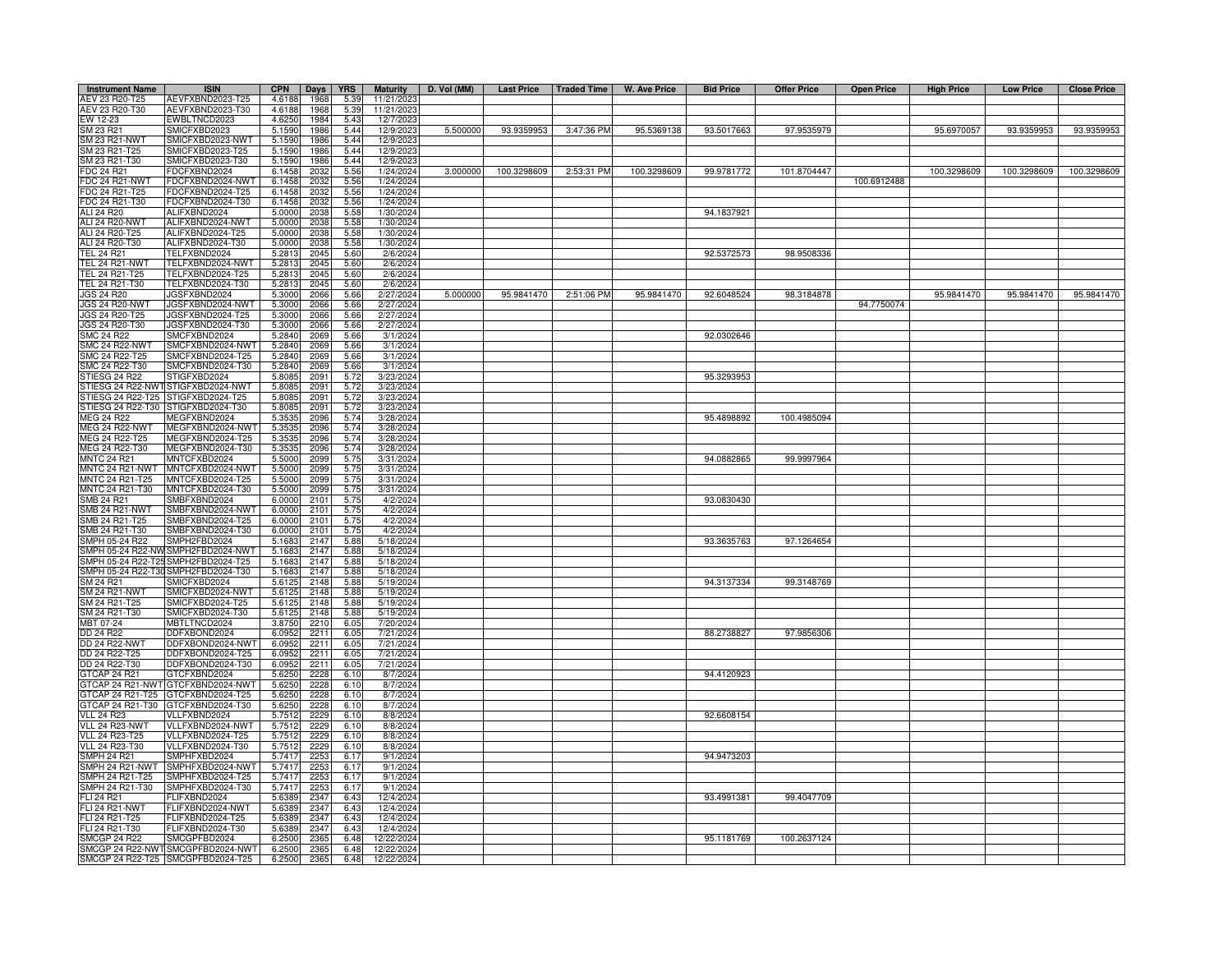| <b>Instrument Name</b>                | <b>ISIN</b>                          | <b>CPN</b>       | Days         | <b>YRS</b>   | <b>Maturity</b>         | D. Vol (MM) |             |            | Last Price   Traded Time   W. Ave Price | <b>Bid Price</b> | <b>Offer Price</b> | <b>Open Price</b> | <b>High Price</b> | <b>Low Price</b> | <b>Close Price</b> |
|---------------------------------------|--------------------------------------|------------------|--------------|--------------|-------------------------|-------------|-------------|------------|-----------------------------------------|------------------|--------------------|-------------------|-------------------|------------------|--------------------|
| AEV 23 R20-T25                        | AEVFXBND2023-T25                     | 4.6188           | 1968         | 5.39         | 11/21/202               |             |             |            |                                         |                  |                    |                   |                   |                  |                    |
| AEV 23 R20-T30                        | AEVFXBND2023-T30                     | 4.6188           | 1968         | 5.39         | 11/21/202               |             |             |            |                                         |                  |                    |                   |                   |                  |                    |
| EW 12-23<br>SM 23 R21                 | EWBLTNCD2023                         | 4.6250<br>5.1590 | 1984<br>1986 | 5.43         | 12/7/2023               | 5.500000    | 93.9359953  | 3:47:36 PM | 95.5369138                              | 93.5017663       | 97.9535979         |                   | 95.6970057        | 93.9359953       | 93.9359953         |
| SM 23 R21-NWT                         | MICFXBD2023<br>MICFXBD2023-NWT       | 5.1590           | 1986         | 5.44<br>5.44 | 12/9/202<br>12/9/202    |             |             |            |                                         |                  |                    |                   |                   |                  |                    |
| SM 23 R21-T25                         | MICFXBD2023-T25                      | 5.1590           | 1986         | 5.44         | 12/9/202                |             |             |            |                                         |                  |                    |                   |                   |                  |                    |
| SM 23 R21-T30                         | MICFXBD2023-T30                      | 5.1590           | 1986         | 5.44         | 12/9/202                |             |             |            |                                         |                  |                    |                   |                   |                  |                    |
| FDC 24 R21                            | DCFXBND2024                          | 6.1458           | 2032         | 5.56         | 1/24/2024               | 3.000000    | 100.3298609 | 2:53:31 PM | 100.3298609                             | 99.9781772       | 101.8704447        |                   | 100.3298609       | 100.3298609      | 100.3298609        |
| <b>FDC 24 R21-NWT</b>                 | FDCFXBND2024-NWT                     | 6.1458           | 2032         | 5.56         | 1/24/2024               |             |             |            |                                         |                  |                    | 100.6912488       |                   |                  |                    |
| FDC 24 R21-T25                        | FDCFXBND2024-T25                     | 6.1458           | 2032         | 5.56         | 1/24/2024               |             |             |            |                                         |                  |                    |                   |                   |                  |                    |
| FDC 24 R21-T30<br>ALI 24 R20          | DCFXBND2024-T30<br>ALIFXBND2024      | 6.1458<br>5.0000 | 2032<br>2038 | 5.56<br>5.58 | 1/24/2024<br>1/30/2024  |             |             |            |                                         | 94.1837921       |                    |                   |                   |                  |                    |
| ALI 24 R20-NWT                        | ALIFXBND2024-NWT                     | 5.0000           | 2038         | 5.58         | 1/30/2024               |             |             |            |                                         |                  |                    |                   |                   |                  |                    |
| ALI 24 R20-T25                        | ALIFXBND2024-T25                     | 5.0000           | 2038         | 5.58         | 1/30/2024               |             |             |            |                                         |                  |                    |                   |                   |                  |                    |
| ALI 24 R20-T30                        | ALIFXBND2024-T30                     | 5.0000           | 2038         | 5.58         | 1/30/2024               |             |             |            |                                         |                  |                    |                   |                   |                  |                    |
| TEL 24 R21                            | TELFXBND2024                         | 5.2813           | 204          | 5.60         | 2/6/2024                |             |             |            |                                         | 92.5372573       | 98.9508336         |                   |                   |                  |                    |
| TEL 24 R21-NWT                        | TELFXBND2024-NWT                     | 5.2813           | 204          | 5.60         | 2/6/202                 |             |             |            |                                         |                  |                    |                   |                   |                  |                    |
| TEL 24 R21-T25<br>TEL 24 R21-T30      | TELFXBND2024-T25<br>TELFXBND2024-T30 | 5.2813<br>5.2813 | 2045<br>2045 | 5.60<br>5.60 | 2/6/2024<br>2/6/202     |             |             |            |                                         |                  |                    |                   |                   |                  |                    |
| <b>JGS 24 R20</b>                     | JGSFXBND2024                         | 5.3000           | 2066         | 5.66         | 2/27/2024               | 5.000000    | 95.9841470  | 2:51:06 PM | 95.9841470                              | 92.6048524       | 98.3184878         |                   | 95.9841470        | 95.9841470       | 95.9841470         |
| <b>JGS 24 R20-NWT</b>                 | JGSFXBND2024-NWT                     | 5.3000           | 2066         | 5.66         | 2/27/2024               |             |             |            |                                         |                  |                    | 94.7750074        |                   |                  |                    |
| JGS 24 R20-T25                        | JGSFXBND2024-T25                     | 5.3000           | 2066         | 5.66         | 2/27/2024               |             |             |            |                                         |                  |                    |                   |                   |                  |                    |
| JGS 24 R20-T30                        | JGSFXBND2024-T30                     | 5.3000           | 2066         | 5.66         | 2/27/2024               |             |             |            |                                         |                  |                    |                   |                   |                  |                    |
| SMC 24 R22                            | SMCFXBND2024                         | 5.2840           | 2069         | 5.66         | 3/1/2024                |             |             |            |                                         | 92.0302646       |                    |                   |                   |                  |                    |
| <b>SMC 24 R22-NWT</b>                 | SMCFXBND2024-NWT                     | 5.2840           | 2069         | 5.66         | 3/1/2024                |             |             |            |                                         |                  |                    |                   |                   |                  |                    |
| SMC 24 R22-T25                        | SMCFXBND2024-T25                     | 5.2840           | 2069         | 5.66         | 3/1/202                 |             |             |            |                                         |                  |                    |                   |                   |                  |                    |
| SMC 24 R22-T30<br>STIESG 24 R22       | SMCFXBND2024-T30<br>STIGFXBD2024     | 5.2840<br>5.8085 | 2069<br>2091 | 5.66<br>5.72 | 3/1/202<br>3/23/2024    |             |             |            |                                         | 95.3293953       |                    |                   |                   |                  |                    |
| STIESG 24 R22-NWT                     | STIGFXBD2024-NWT                     | 5.8085           | 2091         | 5.72         | 3/23/202                |             |             |            |                                         |                  |                    |                   |                   |                  |                    |
| STIESG 24 R22-T25                     | TIGFXBD2024-T25                      | 5.8085           | 2091         | 5.72         | 3/23/2024               |             |             |            |                                         |                  |                    |                   |                   |                  |                    |
| STIESG 24 R22-T30                     | TIGFXBD2024-T30                      | 5.8085           | 2091         | 5.72         | 3/23/2024               |             |             |            |                                         |                  |                    |                   |                   |                  |                    |
| <b>MEG 24 R22</b>                     | MEGFXBND2024                         | 5.353            | 2096         | 5.74         | 3/28/2024               |             |             |            |                                         | 95.4898892       | 100.4985094        |                   |                   |                  |                    |
| MEG 24 R22-NWT                        | MEGFXBND2024-NWT                     | 5.3535           | 2096         | 5.74         | 3/28/2024               |             |             |            |                                         |                  |                    |                   |                   |                  |                    |
| MEG 24 R22-T25<br>MEG 24 R22-T30      | MEGFXBND2024-T25<br>MEGFXBND2024-T30 | 5.3535           | 2096<br>2096 | 5.74<br>5.74 | 3/28/2024<br>3/28/2024  |             |             |            |                                         |                  |                    |                   |                   |                  |                    |
| <b>MNTC 24 R21</b>                    | <b>MNTCFXBD2024</b>                  | 5.3535<br>5.5000 | 2099         | 5.75         | 3/31/2024               |             |             |            |                                         | 94.0882865       | 99.9997964         |                   |                   |                  |                    |
| MNTC 24 R21-NWT                       | MNTCFXBD2024-NWT                     | 5.5000           | 2099         | 5.75         | 3/31/2024               |             |             |            |                                         |                  |                    |                   |                   |                  |                    |
| MNTC 24 R21-T25                       | MNTCFXBD2024-T25                     | 5.5000           | 2099         | 5.75         | 3/31/2024               |             |             |            |                                         |                  |                    |                   |                   |                  |                    |
| MNTC 24 R21-T30                       | MNTCFXBD2024-T30                     | 5.5000           | 2099         | 5.75         | 3/31/2024               |             |             |            |                                         |                  |                    |                   |                   |                  |                    |
| SMB 24 R21                            | SMBFXBND2024                         | 6.0000           | 2101         | 5.75         | 4/2/2024                |             |             |            |                                         | 93.0830430       |                    |                   |                   |                  |                    |
| <b>SMB 24 R21-NWT</b>                 | SMBFXBND2024-NWT                     | 6.0000           | 2101         | 5.75         | 4/2/2024                |             |             |            |                                         |                  |                    |                   |                   |                  |                    |
| SMB 24 R21-T25<br>MB 24 R21-T30       | SMBFXBND2024-T25<br>SMBFXBND2024-T30 | 6.0000<br>6.0000 | 2101<br>2101 | 5.75<br>5.75 | 4/2/2024<br>4/2/2024    |             |             |            |                                         |                  |                    |                   |                   |                  |                    |
| MPH 05-24 R22                         | MPH2FBD2024                          | 5.1683           | 2147         | 5.88         | 5/18/2024               |             |             |            |                                         | 93.3635763       | 97.1264654         |                   |                   |                  |                    |
| MPH 05-24 R22-NV                      | SMPH2FBD2024-NWT                     | 5.1683           | 2147         | 5.88         | 5/18/2024               |             |             |            |                                         |                  |                    |                   |                   |                  |                    |
| SMPH 05-24 R22-T25                    | MPH2FBD2024-T25                      | 5.1683           | 2147         | 5.88         | 5/18/2024               |             |             |            |                                         |                  |                    |                   |                   |                  |                    |
| SMPH 05-24 R22-T3                     | SMPH2FBD2024-T30                     | 5.1683           | 2147         | 5.88         | 5/18/2024               |             |             |            |                                         |                  |                    |                   |                   |                  |                    |
| SM 24 R21                             | SMICFXBD2024                         | 5.6125           | 2148         | 5.88         | 5/19/202                |             |             |            |                                         | 94.3137334       | 99.3148769         |                   |                   |                  |                    |
| SM 24 R21-NWT                         | SMICFXBD2024-NWT                     | 5.612            | 2148         | 5.88         | 5/19/202                |             |             |            |                                         |                  |                    |                   |                   |                  |                    |
| SM 24 R21-T25<br>SM 24 R21-T30        | SMICFXBD2024-T25<br>SMICFXBD2024-T30 | 5.6125<br>5.6125 | 2148<br>2148 | 5.88<br>5.88 | 5/19/2024<br>5/19/202   |             |             |            |                                         |                  |                    |                   |                   |                  |                    |
| MBT 07-24                             | MBTLTNCD2024                         | 3.8750           | 2210         | 6.05         | 7/20/2024               |             |             |            |                                         |                  |                    |                   |                   |                  |                    |
| DD 24 R22                             | DDFXBOND2024                         | 6.0952           | 2211         | 6.05         | 7/21/2024               |             |             |            |                                         | 88.2738827       | 97.9856306         |                   |                   |                  |                    |
| <b>DD 24 R22-NWT</b>                  | DDFXBOND2024-NWT                     | 6.0952           | 2211         | 6.05         | 7/21/2024               |             |             |            |                                         |                  |                    |                   |                   |                  |                    |
| DD 24 R22-T25                         | DDFXBOND2024-T25                     | 6.0952           | 2211         | 6.05         | 7/21/2024               |             |             |            |                                         |                  |                    |                   |                   |                  |                    |
| DD 24 R22-T30                         | DDFXBOND2024-T30                     | 6.0952           | 2211         | 6.05         | 7/21/2024               |             |             |            |                                         |                  |                    |                   |                   |                  |                    |
| GTCAP 24 R21<br>GTCAP 24 R21-NWT      | GTCFXBND2024<br>GTCFXBND2024-NWT     | 5.6250<br>5.6250 | 2228<br>2228 | 6.10<br>6.10 | 8/7/2024<br>8/7/2024    |             |             |            |                                         | 94.4120923       |                    |                   |                   |                  |                    |
| GTCAP 24 R21-T25                      | GTCFXBND2024-T25                     | 5.6250           | 2228         | 6.10         | 8/7/2024                |             |             |            |                                         |                  |                    |                   |                   |                  |                    |
| GTCAP 24 R21-T30                      | GTCFXBND2024-T30                     | 5.6250           | 2228         | 6.10         | 8/7/2024                |             |             |            |                                         |                  |                    |                   |                   |                  |                    |
| <b>VLL 24 R23</b>                     | VLLFXBND2024                         | 5.7512           | 2229         | 6.10         | 8/8/2024                |             |             |            |                                         | 92.6608154       |                    |                   |                   |                  |                    |
| VLL 24 R23-NWT                        | VLLFXBND2024-NWT                     | 5.7512           | 2229         | 6.10         | 8/8/2024                |             |             |            |                                         |                  |                    |                   |                   |                  |                    |
| VLL 24 R23-T25                        | VLLFXBND2024-T25                     | 5.7512           | 2229         | 6.10         | 8/8/2024                |             |             |            |                                         |                  |                    |                   |                   |                  |                    |
| VLL 24 R23-T30                        | VLLFXBND2024-T30                     | 5.7512           | 2229         | 6.10         | 8/8/2024                |             |             |            |                                         |                  |                    |                   |                   |                  |                    |
| <b>SMPH 24 R21</b><br>SMPH 24 R21-NWT | SMPHFXBD2024<br>SMPHFXBD2024-NWT     | 5.7417<br>5.7417 | 2253<br>2253 | 6.17<br>6.17 | 9/1/2024<br>9/1/2024    |             |             |            |                                         | 94.9473203       |                    |                   |                   |                  |                    |
| SMPH 24 R21-T25                       | SMPHFXBD2024-T25                     | 5.7417           | 2253         | 6.17         | 9/1/2024                |             |             |            |                                         |                  |                    |                   |                   |                  |                    |
| SMPH 24 R21-T30                       | SMPHFXBD2024-T30                     | 5.7417           | 2253         | 6.17         | 9/1/2024                |             |             |            |                                         |                  |                    |                   |                   |                  |                    |
| <b>FLI 24 R21</b>                     | FLIFXBND2024                         | 5.6389           | 2347         | 6.43         | 12/4/2024               |             |             |            |                                         | 93.4991381       | 99.4047709         |                   |                   |                  |                    |
| <b>FLI 24 R21-NWT</b>                 | FLIFXBND2024-NWT                     | 5.6389           | 2347         | 6.43         | 12/4/2024               |             |             |            |                                         |                  |                    |                   |                   |                  |                    |
| FLI 24 R21-T25                        | FLIFXBND2024-T25                     | 5.6389           | 2347         | 6.43         | 12/4/2024               |             |             |            |                                         |                  |                    |                   |                   |                  |                    |
| FLI 24 R21-T30<br><b>SMCGP 24 R22</b> | -LIFXBND2024-T30<br>SMCGPFBD2024     | 5.6389<br>6.2500 | 2347<br>2365 | 6.43         | 12/4/2024<br>12/22/2024 |             |             |            |                                         | 95.1181769       | 100.2637124        |                   |                   |                  |                    |
|                                       | SMCGP 24 R22-NWT SMCGPFBD2024-NWT    | 6.2500           | 2365         | 6.48<br>6.48 | 12/22/202               |             |             |            |                                         |                  |                    |                   |                   |                  |                    |
|                                       | SMCGP 24 R22-T25 SMCGPFBD2024-T25    | 6.2500           | 2365         | 6.48         | 12/22/2024              |             |             |            |                                         |                  |                    |                   |                   |                  |                    |
|                                       |                                      |                  |              |              |                         |             |             |            |                                         |                  |                    |                   |                   |                  |                    |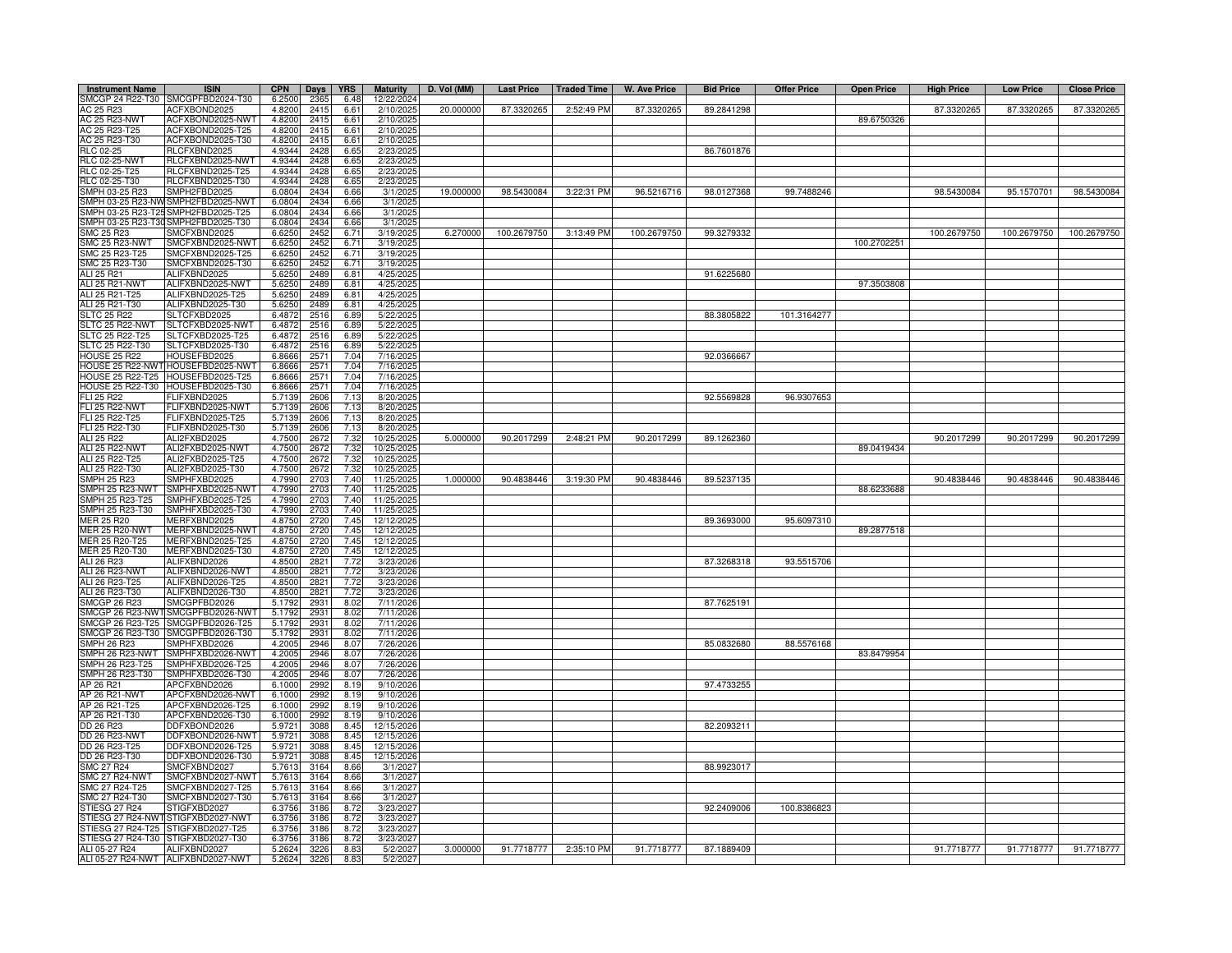| <b>Instrument Name</b>             | <b>ISIN</b>                                                              | <b>CPN</b>       | Days         | <b>YRS</b>   | <b>Maturity</b>         | D. Vol (MM) | <b>Last Price</b> | <b>Traded Time</b> | <b>W. Ave Price</b> | <b>Bid Price</b> | <b>Offer Price</b> | <b>Open Price</b> | <b>High Price</b> | <b>Low Price</b> | <b>Close Price</b> |
|------------------------------------|--------------------------------------------------------------------------|------------------|--------------|--------------|-------------------------|-------------|-------------------|--------------------|---------------------|------------------|--------------------|-------------------|-------------------|------------------|--------------------|
| SMCGP 24 R22-T30                   | SMCGPFBD2024-T30                                                         | 6.2500           | 2365         | 6.48         | 12/22/2024              |             |                   |                    |                     |                  |                    |                   |                   |                  |                    |
| AC 25 R23                          | ACFXBOND2025                                                             | 4.8200           | 2415         | 6.61         | 2/10/2025               | 20.000000   | 87.3320265        | 2:52:49 PM         | 87.3320265          | 89.2841298       |                    |                   | 87.3320265        | 87.3320265       | 87.3320265         |
| AC 25 R23-NWT<br>AC 25 R23-T25     | ACFXBOND2025-NWT<br>ACFXBOND2025-T25                                     | 4.8200<br>4.8200 | 2415<br>2415 | 6.61<br>6.61 | 2/10/2025<br>2/10/2025  |             |                   |                    |                     |                  |                    | 89.6750326        |                   |                  |                    |
| AC 25 R23-T30                      | ACFXBOND2025-T30                                                         | 4.8200           | 2415         | 6.61         | 2/10/2025               |             |                   |                    |                     |                  |                    |                   |                   |                  |                    |
| RLC 02-25                          | RLCFXBND2025                                                             | 4.9344           | 2428         | 6.65         | 2/23/2025               |             |                   |                    |                     | 86.7601876       |                    |                   |                   |                  |                    |
| <b>RLC 02-25-NWT</b>               | RLCFXBND2025-NWT                                                         | 4.9344           | 2428         | 6.65         | 2/23/2025               |             |                   |                    |                     |                  |                    |                   |                   |                  |                    |
| RLC 02-25-T25                      | RLCFXBND2025-T25                                                         | 4.9344           | 2428         | 6.65         | 2/23/2025               |             |                   |                    |                     |                  |                    |                   |                   |                  |                    |
| RLC 02-25-T30                      | RLCFXBND2025-T30                                                         | 4.9344           | 2428         | 6.65         | 2/23/202                |             |                   |                    |                     |                  |                    |                   |                   |                  |                    |
| SMPH 03-25 R23                     | SMPH2FBD2025                                                             | 6.0804           | 2434         | 6.66         | 3/1/2025                | 19.000000   | 98.5430084        | 3:22:31 PM         | 96.5216716          | 98.0127368       | 99.7488246         |                   | 98.5430084        | 95.1570701       | 98.5430084         |
|                                    | SMPH 03-25 R23-NW SMPH2FBD2025-NWT                                       | 6.0804           | 2434         | 6.66         | 3/1/2025                |             |                   |                    |                     |                  |                    |                   |                   |                  |                    |
|                                    | MPH 03-25 R23-T25 SMPH2FBD2025-T25<br>MPH 03-25 R23-T30 SMPH2FBD2025-T30 | 6.0804<br>6.0804 | 2434<br>2434 | 6.66<br>6.66 | 3/1/2025<br>3/1/2025    |             |                   |                    |                     |                  |                    |                   |                   |                  |                    |
| MC 25 R23                          | SMCFXBND2025                                                             | 6.6250           | 245          | 6.71         | 3/19/2025               | 6.270000    | 100.2679750       | 3:13:49 PM         | 100.2679750         | 99.3279332       |                    |                   | 100.2679750       | 100.2679750      | 100.2679750        |
| MC 25 R23-NWT                      | SMCFXBND2025-NWT                                                         | 6.6250           | 245'         | 6.71         | 3/19/202                |             |                   |                    |                     |                  |                    | 100.2702251       |                   |                  |                    |
| MC 25 R23-T25                      | SMCFXBND2025-T25                                                         | 6.6250           | 2452         | 6.71         | 3/19/202                |             |                   |                    |                     |                  |                    |                   |                   |                  |                    |
| SMC 25 R23-T30                     | SMCFXBND2025-T30                                                         | 6.625            | 2452         | 6.71         | 3/19/202                |             |                   |                    |                     |                  |                    |                   |                   |                  |                    |
| ALI 25 R21                         | ALIFXBND2025                                                             | 5.6250           | 2489         | 6.81         | 4/25/2025               |             |                   |                    |                     | 91.6225680       |                    |                   |                   |                  |                    |
| <b>ALI 25 R21-NWT</b>              | ALIFXBND2025-NWT                                                         | 5.6250           | 2489         | 6.81         | 4/25/2025               |             |                   |                    |                     |                  |                    | 97.3503808        |                   |                  |                    |
| ALI 25 R21-T25                     | ALIFXBND2025-T25                                                         | 5.6250           | 2489         | 6.81         | 4/25/202                |             |                   |                    |                     |                  |                    |                   |                   |                  |                    |
| ALI 25 R21-T30                     | ALIFXBND2025-T30                                                         | 5.6250           | 2489         | 6.81         | 4/25/202                |             |                   |                    |                     |                  |                    |                   |                   |                  |                    |
| <b>SLTC 25 R22</b>                 | SLTCFXBD2025                                                             | 6.487            | 2516         | 6.89         | 5/22/202                |             |                   |                    |                     | 88.3805822       | 101.3164277        |                   |                   |                  |                    |
| SLTC 25 R22-NWT<br>SLTC 25 R22-T25 | SLTCFXBD2025-NWT                                                         | 6.487            | 2516         | 6.89         | 5/22/2025               |             |                   |                    |                     |                  |                    |                   |                   |                  |                    |
| SLTC 25 R22-T30                    | SLTCFXBD2025-T25<br>SLTCFXBD2025-T30                                     | 6.487<br>6.4872  | 2516<br>2516 | 6.89<br>6.89 | 5/22/2025<br>5/22/2025  |             |                   |                    |                     |                  |                    |                   |                   |                  |                    |
| <b>HOUSE 25 R22</b>                | HOUSEFBD2025                                                             | 6.866            | 2571         | 7.04         | 7/16/2025               |             |                   |                    |                     | 92.0366667       |                    |                   |                   |                  |                    |
|                                    | HOUSE 25 R22-NWT HOUSEFBD2025-NWT                                        | 6.866            | 2571         | 7.04         | 7/16/2025               |             |                   |                    |                     |                  |                    |                   |                   |                  |                    |
|                                    | HOUSE 25 R22-T25 HOUSEFBD2025-T25                                        | 6.8666           | 2571         | 7.04         | 7/16/2025               |             |                   |                    |                     |                  |                    |                   |                   |                  |                    |
|                                    | HOUSE 25 R22-T30 HOUSEFBD2025-T30                                        | 6.866            | 2571         | 7.04         | 7/16/202                |             |                   |                    |                     |                  |                    |                   |                   |                  |                    |
| FLI 25 R22                         | FLIFXBND2025                                                             | 5.7139           | 2606         | 7.13         | 8/20/2025               |             |                   |                    |                     | 92.5569828       | 96.9307653         |                   |                   |                  |                    |
| <b>FLI 25 R22-NWT</b>              | FLIFXBND2025-NWT                                                         | 5.7139           | 2606         | 7.13         | 8/20/2025               |             |                   |                    |                     |                  |                    |                   |                   |                  |                    |
| FLI 25 R22-T25                     | FLIFXBND2025-T25                                                         | 5.713            | 2606         | 7.13         | 8/20/2025               |             |                   |                    |                     |                  |                    |                   |                   |                  |                    |
| FLI 25 R22-T30                     | FLIFXBND2025-T30                                                         | 5.713            | 2606         | 7.13         | 8/20/2025               |             |                   |                    |                     |                  |                    |                   |                   |                  |                    |
| ALI 25 R22                         | ALI2FXBD2025                                                             | 4.750            | 267          | <u>7.32</u>  | 10/25/2025              | 5.000000    | 90.2017299        | 2:48:21 PM         | 90.2017299          | 89.1262360       |                    |                   | 90.2017299        | 90.2017299       | 90.2017299         |
| ALI 25 R22-NWT<br>ALI 25 R22-T25   | ALI2FXBD2025-NWT<br>ALI2FXBD2025-T25                                     | 4.7500<br>4.7500 | 2672<br>2672 | 7.32         | 10/25/2025<br>10/25/202 |             |                   |                    |                     |                  |                    | 89.0419434        |                   |                  |                    |
| ALI 25 R22-T30                     | ALI2FXBD2025-T30                                                         | 4.7500           | 267          | 7.32<br>7.32 | 10/25/202               |             |                   |                    |                     |                  |                    |                   |                   |                  |                    |
| <b>SMPH 25 R23</b>                 | SMPHFXBD2025                                                             | 4.7990           | 2703         | 7.40         | 11/25/2025              | 1.000000    | 90.4838446        | 3:19:30 PM         | 90.4838446          | 89.5237135       |                    |                   | 90.4838446        | 90.4838446       | 90.4838446         |
| SMPH 25 R23-NWT                    | SMPHFXBD2025-NWT                                                         | 4.7990           | 2703         | 7.40         | 11/25/2025              |             |                   |                    |                     |                  |                    | 88.6233688        |                   |                  |                    |
| MPH 25 R23-T25                     | SMPHFXBD2025-T25                                                         | 4.7990           | 2703         | 7.40         | 11/25/2025              |             |                   |                    |                     |                  |                    |                   |                   |                  |                    |
| MPH 25 R23-T30                     | SMPHFXBD2025-T30                                                         | 4.7990           | 2703         | 7.40         | 11/25/2025              |             |                   |                    |                     |                  |                    |                   |                   |                  |                    |
| <b>JER 25 R20</b>                  | MERFXBND2025                                                             | 4.8750           | 272(         | 7.45         | 12/12/202               |             |                   |                    |                     | 89.3693000       | 95.6097310         |                   |                   |                  |                    |
| <b>JER 25 R20-NWT</b>              | MERFXBND2025-NWT                                                         | 4.875            | 2720         | 7.45         | 12/12/2025              |             |                   |                    |                     |                  |                    | 89.2877518        |                   |                  |                    |
| MER 25 R20-T25                     | MERFXBND2025-T25                                                         | 4.875            | 2720         | 7.45         | 12/12/2025              |             |                   |                    |                     |                  |                    |                   |                   |                  |                    |
| MER 25 R20-T30                     | MERFXBND2025-T30                                                         | 4.8750           | 2720         | 7.45         | 12/12/2025              |             |                   |                    |                     |                  |                    |                   |                   |                  |                    |
| ALI 26 R23<br>ALI 26 R23-NWT       | ALIFXBND2026<br>ALIFXBND2026-NWT                                         | 4.850<br>4.850   | 2821<br>2821 | 7.72<br>7.72 | 3/23/2026<br>3/23/2026  |             |                   |                    |                     | 87.3268318       | 93.5515706         |                   |                   |                  |                    |
| ALI 26 R23-T25                     | ALIFXBND2026-T25                                                         | 4.8500           | 2821         | 7.72         | 3/23/2026               |             |                   |                    |                     |                  |                    |                   |                   |                  |                    |
| ALI 26 R23-T30                     | ALIFXBND2026-T30                                                         | 4.8500           | 2821         | 7.72         | 3/23/2026               |             |                   |                    |                     |                  |                    |                   |                   |                  |                    |
| <b>SMCGP 26 R23</b>                | SMCGPFBD2026                                                             | 5.1792           | 2931         | 8.02         | 7/11/2026               |             |                   |                    |                     | 87.7625191       |                    |                   |                   |                  |                    |
|                                    | SMCGP 26 R23-NWT SMCGPFBD2026-NWT                                        | 5.1792           | 2931         | 8.02         | 7/11/2026               |             |                   |                    |                     |                  |                    |                   |                   |                  |                    |
| MCGP 26 R23-T25                    | SMCGPFBD2026-T25                                                         | 5.1792           | 2931         | 8.02         | 7/11/2026               |             |                   |                    |                     |                  |                    |                   |                   |                  |                    |
| SMCGP 26 R23-T30                   | SMCGPFBD2026-T30                                                         | 5.1792           | 2931         | 8.02         | 7/11/2026               |             |                   |                    |                     |                  |                    |                   |                   |                  |                    |
| <b>SMPH 26 R23</b>                 | SMPHFXBD2026                                                             | 4.200            | 2946         | 8.07         | 7/26/2026               |             |                   |                    |                     | 85.0832680       | 88.5576168         |                   |                   |                  |                    |
| MPH 26 R23-NWT<br>MPH 26 R23-T25   | SMPHFXBD2026-NWT<br>SMPHFXBD2026-T25                                     | 4.2005<br>4.2005 | 2946<br>2946 | 8.07<br>8.07 | 7/26/2026<br>7/26/2026  |             |                   |                    |                     |                  |                    | 83.8479954        |                   |                  |                    |
| SMPH 26 R23-T30                    | SMPHFXBD2026-T30                                                         | 4.200            | 2946         | 8.07         | 7/26/2026               |             |                   |                    |                     |                  |                    |                   |                   |                  |                    |
| AP 26 R21                          | APCFXBND2026                                                             | 6.1000           | 2992         | 8.19         | 9/10/2026               |             |                   |                    |                     | 97.4733255       |                    |                   |                   |                  |                    |
| AP 26 R21-NWT                      | APCFXBND2026-NWT                                                         | 6.1000           | 2992         | 8.19         | 9/10/2026               |             |                   |                    |                     |                  |                    |                   |                   |                  |                    |
| AP 26 R21-T25                      | APCFXBND2026-T25                                                         | 6.1000           | 2992         | 8.19         | 9/10/2026               |             |                   |                    |                     |                  |                    |                   |                   |                  |                    |
| AP 26 R21-T30                      | APCFXBND2026-T30                                                         | 6.1000           | 2992         | 8.19         | 9/10/2026               |             |                   |                    |                     |                  |                    |                   |                   |                  |                    |
| DD 26 R23                          | DDFXBOND2026                                                             | 5.9721           | 3088         | 8.45         | 12/15/2026              |             |                   |                    |                     | 82.2093211       |                    |                   |                   |                  |                    |
| <b>DD 26 R23-NWT</b>               | DDFXBOND2026-NWT                                                         | 5.9721           | 3088         | 8.45         | 12/15/2026              |             |                   |                    |                     |                  |                    |                   |                   |                  |                    |
| DD 26 R23-T25                      | DDFXBOND2026-T25                                                         | 5.9721           | 3088         | 8.45         | 12/15/2026              |             |                   |                    |                     |                  |                    |                   |                   |                  |                    |
| DD 26 R23-T30                      | DDFXBOND2026-T30                                                         | 5.9721           | 3088         | 8.45         | 12/15/2026              |             |                   |                    |                     |                  |                    |                   |                   |                  |                    |
| <b>SMC 27 R24</b>                  | SMCFXBND2027                                                             | 5.7613           | 3164         | 8.66         | 3/1/2027                |             |                   |                    |                     | 88.9923017       |                    |                   |                   |                  |                    |
| SMC 27 R24-NWT<br>MC 27 R24-T25    | SMCFXBND2027-NWT<br>SMCFXBND2027-T25                                     | 5.7613<br>5.761  | 3164<br>3164 | 8.66<br>8.66 | 3/1/2027<br>3/1/2027    |             |                   |                    |                     |                  |                    |                   |                   |                  |                    |
| MC 27 R24-T30                      | SMCFXBND2027-T30                                                         | 5.761            | 3164         | 8.66         | 3/1/202                 |             |                   |                    |                     |                  |                    |                   |                   |                  |                    |
| TIESG 27 R24                       | STIGFXBD2027                                                             | 6.375            | 3186         | 8.72         | 3/23/2027               |             |                   |                    |                     | 92.2409006       | 100.8386823        |                   |                   |                  |                    |
|                                    | TIESG 27 R24-NWTSTIGFXBD2027-NWT                                         | 6.375            | 3186         | 8.72         | 3/23/2027               |             |                   |                    |                     |                  |                    |                   |                   |                  |                    |
|                                    | TIESG 27 R24-T25 STIGFXBD2027-T25                                        | 6.375            | 3186         | 8.72         | 3/23/2021               |             |                   |                    |                     |                  |                    |                   |                   |                  |                    |
|                                    | STIESG 27 R24-T30 STIGFXBD2027-T30                                       | 6.375            | 3186         | 8.72         | 3/23/2027               |             |                   |                    |                     |                  |                    |                   |                   |                  |                    |
| ALI 05-27 R24                      | ALIFXBND2027                                                             | 5.262            | 3226         | 8.83         | 5/2/2027                | 3.000000    | 91.7718777        | 2:35:10 PM         | 91.7718777          | 87.1889409       |                    |                   | 91.7718777        | 91.7718777       | 91.7718777         |
|                                    | ALI 05-27 R24-NWT ALIFXBND2027-NWT                                       | 5.2624           | 3226         | 8.83         | 5/2/2027                |             |                   |                    |                     |                  |                    |                   |                   |                  |                    |